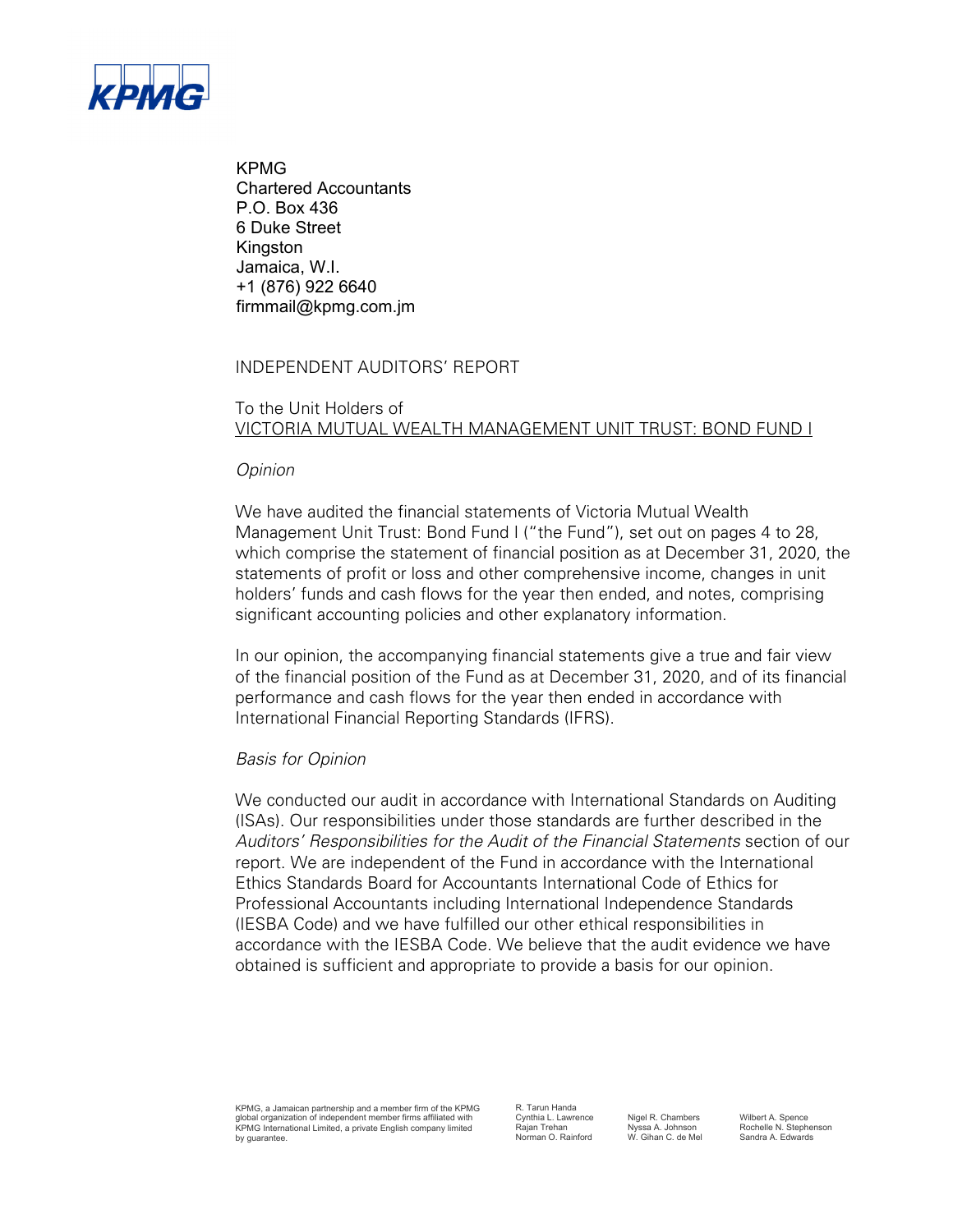

KPMG Chartered Accountants P.O. Box 436 6 Duke Street Kingston Jamaica, W.I. +1 (876) 922 6640 firmmail@kpmg.com.jm

## INDEPENDENT AUDITORS' REPORT

## To the Unit Holders of VICTORIA MUTUAL WEALTH MANAGEMENT UNIT TRUST: BOND FUND I

#### *Opinion*

We have audited the financial statements of Victoria Mutual Wealth Management Unit Trust: Bond Fund I ("the Fund"), set out on pages 4 to 28, which comprise the statement of financial position as at December 31, 2020, the statements of profit or loss and other comprehensive income, changes in unit holders' funds and cash flows for the year then ended, and notes, comprising significant accounting policies and other explanatory information.

In our opinion, the accompanying financial statements give a true and fair view of the financial position of the Fund as at December 31, 2020, and of its financial performance and cash flows for the year then ended in accordance with International Financial Reporting Standards (IFRS).

## *Basis for Opinion*

We conducted our audit in accordance with International Standards on Auditing (ISAs). Our responsibilities under those standards are further described in the *Auditors' Responsibilities for the Audit of the Financial Statements* section of our report. We are independent of the Fund in accordance with the International Ethics Standards Board for Accountants International Code of Ethics for Professional Accountants including International Independence Standards (IESBA Code) and we have fulfilled our other ethical responsibilities in accordance with the IESBA Code. We believe that the audit evidence we have obtained is sufficient and appropriate to provide a basis for our opinion.

KPMG, a Jamaican partnership and a member firm of the KPMG global organization of independent member firms affiliated with KPMG International Limited, a private English company limited by guarantee.

R. Tarun Handa Cynthia L. Lawrence Nigel R. Chambers Wilbert A. Spence Norman O. Rainford

Rochelle N. Stephenson<br>W. Gihan C. de Mel Sandra A. Edwards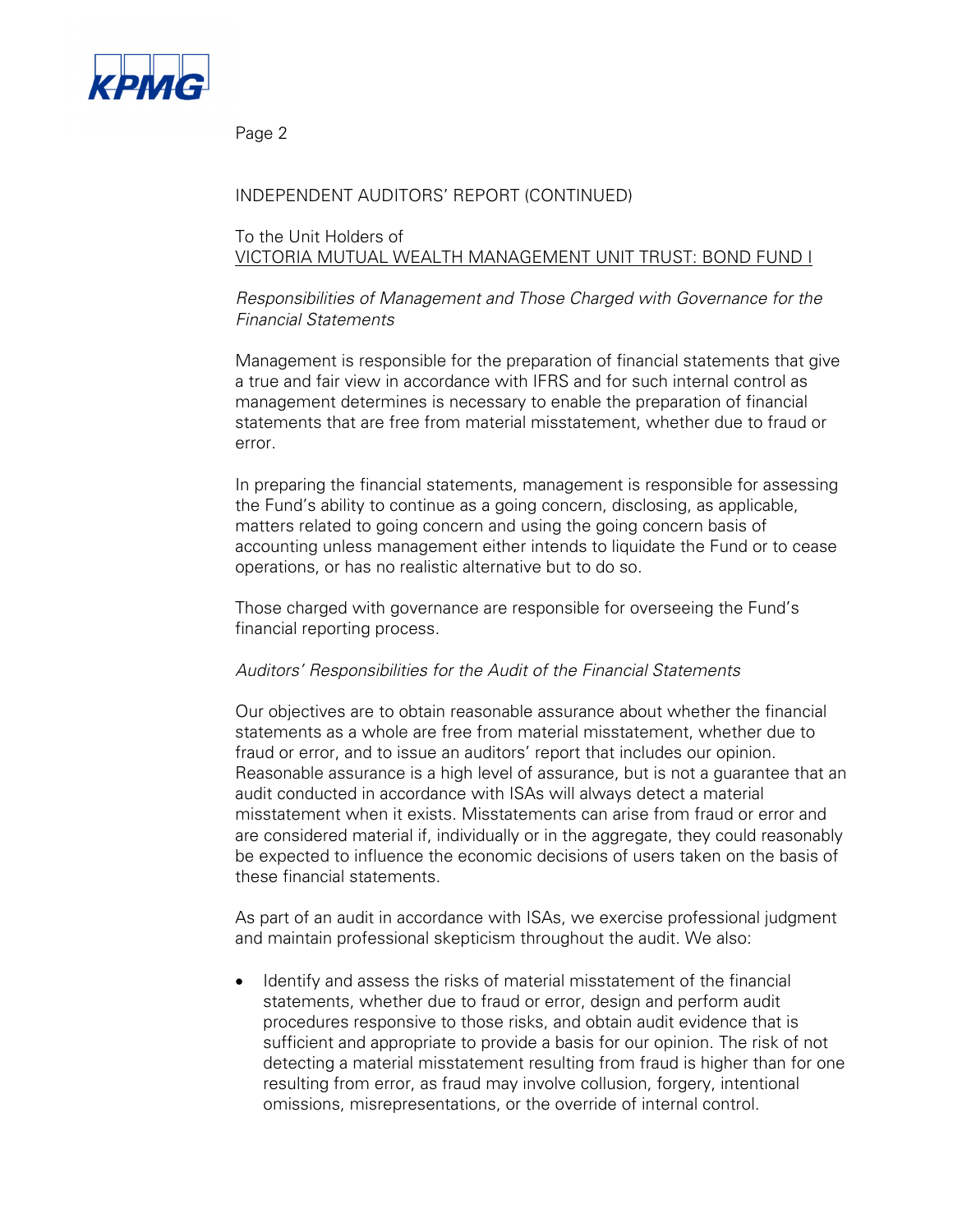

Page 2

## INDEPENDENT AUDITORS' REPORT (CONTINUED)

## To the Unit Holders of VICTORIA MUTUAL WEALTH MANAGEMENT UNIT TRUST: BOND FUND I

## *Responsibilities of Management and Those Charged with Governance for the Financial Statements*

Management is responsible for the preparation of financial statements that give a true and fair view in accordance with IFRS and for such internal control as management determines is necessary to enable the preparation of financial statements that are free from material misstatement, whether due to fraud or error.

In preparing the financial statements, management is responsible for assessing the Fund's ability to continue as a going concern, disclosing, as applicable, matters related to going concern and using the going concern basis of accounting unless management either intends to liquidate the Fund or to cease operations, or has no realistic alternative but to do so.

Those charged with governance are responsible for overseeing the Fund's financial reporting process.

## *Auditors' Responsibilities for the Audit of the Financial Statements*

Our objectives are to obtain reasonable assurance about whether the financial statements as a whole are free from material misstatement, whether due to fraud or error, and to issue an auditors' report that includes our opinion. Reasonable assurance is a high level of assurance, but is not a guarantee that an audit conducted in accordance with ISAs will always detect a material misstatement when it exists. Misstatements can arise from fraud or error and are considered material if, individually or in the aggregate, they could reasonably be expected to influence the economic decisions of users taken on the basis of these financial statements.

As part of an audit in accordance with ISAs, we exercise professional judgment and maintain professional skepticism throughout the audit. We also:

• Identify and assess the risks of material misstatement of the financial statements, whether due to fraud or error, design and perform audit procedures responsive to those risks, and obtain audit evidence that is sufficient and appropriate to provide a basis for our opinion. The risk of not detecting a material misstatement resulting from fraud is higher than for one resulting from error, as fraud may involve collusion, forgery, intentional omissions, misrepresentations, or the override of internal control.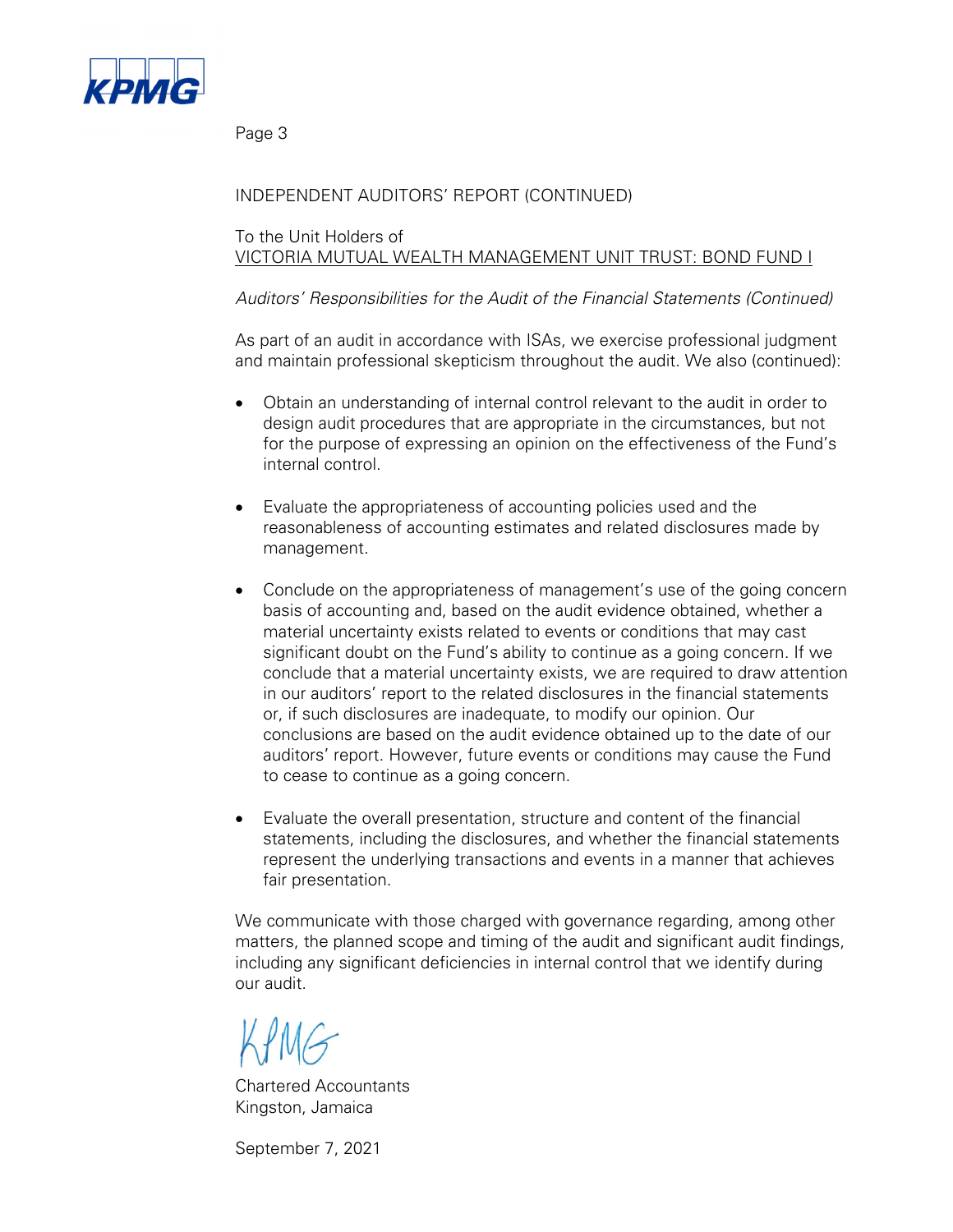

Page 3

## INDEPENDENT AUDITORS' REPORT (CONTINUED)

To the Unit Holders of VICTORIA MUTUAL WEALTH MANAGEMENT UNIT TRUST: BOND FUND I

## *Auditors' Responsibilities for the Audit of the Financial Statements (Continued)*

As part of an audit in accordance with ISAs, we exercise professional judgment and maintain professional skepticism throughout the audit. We also (continued):

- Obtain an understanding of internal control relevant to the audit in order to design audit procedures that are appropriate in the circumstances, but not for the purpose of expressing an opinion on the effectiveness of the Fund's internal control.
- Evaluate the appropriateness of accounting policies used and the reasonableness of accounting estimates and related disclosures made by management.
- Conclude on the appropriateness of management's use of the going concern basis of accounting and, based on the audit evidence obtained, whether a material uncertainty exists related to events or conditions that may cast significant doubt on the Fund's ability to continue as a going concern. If we conclude that a material uncertainty exists, we are required to draw attention in our auditors' report to the related disclosures in the financial statements or, if such disclosures are inadequate, to modify our opinion. Our conclusions are based on the audit evidence obtained up to the date of our auditors' report. However, future events or conditions may cause the Fund to cease to continue as a going concern.
- Evaluate the overall presentation, structure and content of the financial statements, including the disclosures, and whether the financial statements represent the underlying transactions and events in a manner that achieves fair presentation.

We communicate with those charged with governance regarding, among other matters, the planned scope and timing of the audit and significant audit findings, including any significant deficiencies in internal control that we identify during our audit.

Chartered Accountants Kingston, Jamaica

September 7, 2021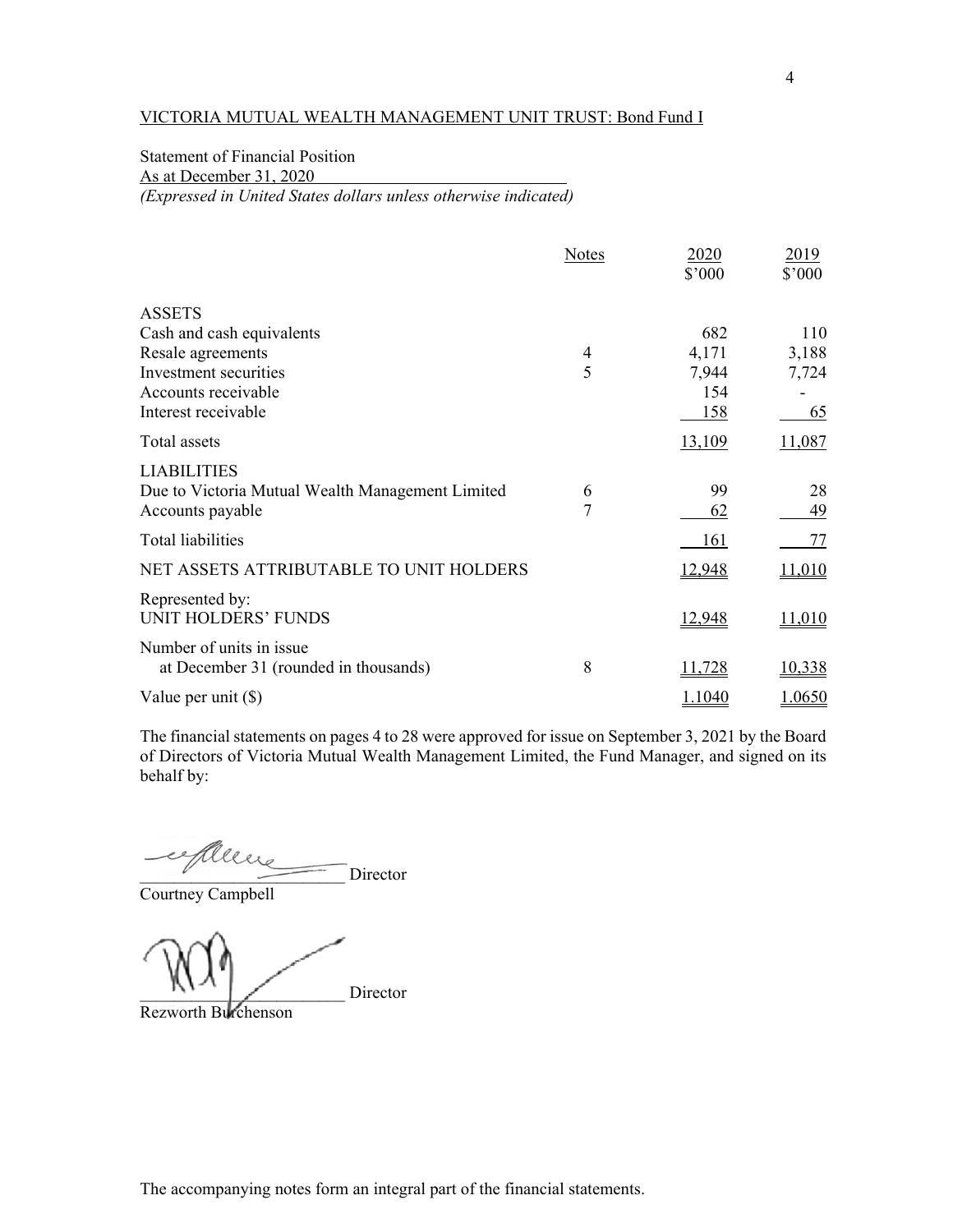### Statement of Financial Position As at December 31, 2020

*(Expressed in United States dollars unless otherwise indicated)* 

|                                                  | <b>Notes</b>   | 2020<br>\$'000 | 2019<br>\$'000 |
|--------------------------------------------------|----------------|----------------|----------------|
| <b>ASSETS</b>                                    |                |                |                |
| Cash and cash equivalents                        |                | 682            | 110            |
| Resale agreements                                | $\overline{4}$ | 4,171          | 3,188          |
| Investment securities                            | 5              | 7,944          | 7,724          |
| Accounts receivable                              |                | 154            |                |
| Interest receivable                              |                | 158            | 65             |
| Total assets                                     |                | 13,109         | 11,087         |
| <b>LIABILITIES</b>                               |                |                |                |
| Due to Victoria Mutual Wealth Management Limited | 6              | 99             | 28             |
| Accounts payable                                 | $\overline{7}$ | 62             | 49             |
| <b>Total liabilities</b>                         |                | 161            | 77             |
| NET ASSETS ATTRIBUTABLE TO UNIT HOLDERS          |                | 12,948         | 11,010         |
| Represented by:                                  |                |                |                |
| UNIT HOLDERS' FUNDS                              |                | 12,948         | 11,010         |
| Number of units in issue                         |                |                |                |
| at December 31 (rounded in thousands)            | 8              | <u>11,728</u>  | 10,338         |
| Value per unit $(\$)$                            |                | 1.1040         | 1.0650         |

The financial statements on pages 4 to 28 were approved for issue on September 3, 2021 by the Board of Directors of Victoria Mutual Wealth Management Limited, the Fund Manager, and signed on its behalf by:

 $\sqrt{2}$  Director

Courtney Campbell

Director

Rezworth Burchenson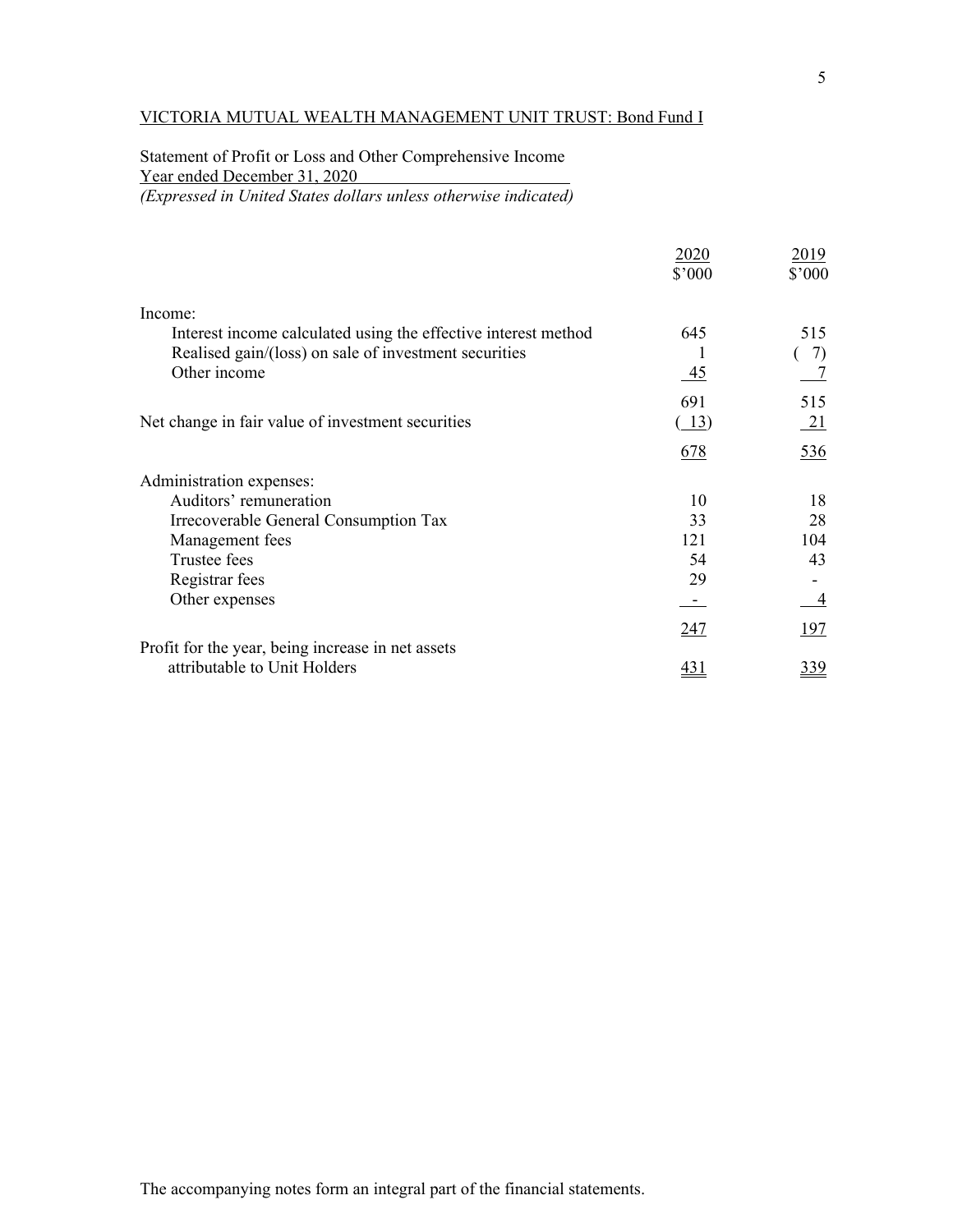# Statement of Profit or Loss and Other Comprehensive Income Year ended December 31, 2020

*(Expressed in United States dollars unless otherwise indicated)* 

|                                                                | 2020<br>\$'000 | <u>2019</u><br>\$'000 |
|----------------------------------------------------------------|----------------|-----------------------|
| Income:                                                        |                |                       |
| Interest income calculated using the effective interest method | 645            | 515                   |
| Realised gain/(loss) on sale of investment securities          |                | 7)                    |
| Other income                                                   | $\frac{45}{ }$ |                       |
|                                                                | 691            | 515                   |
| Net change in fair value of investment securities              | (13)           | <u>21</u>             |
|                                                                | 678            | 536                   |
| Administration expenses:                                       |                |                       |
| Auditors' remuneration                                         | 10             | 18                    |
| Irrecoverable General Consumption Tax                          | 33             | 28                    |
| Management fees                                                | 121            | 104                   |
| Trustee fees                                                   | 54             | 43                    |
| Registrar fees                                                 | 29             |                       |
| Other expenses                                                 |                | 4                     |
|                                                                | 247            | 197                   |
| Profit for the year, being increase in net assets              |                |                       |
| attributable to Unit Holders                                   | <u>431</u>     | <u>339</u>            |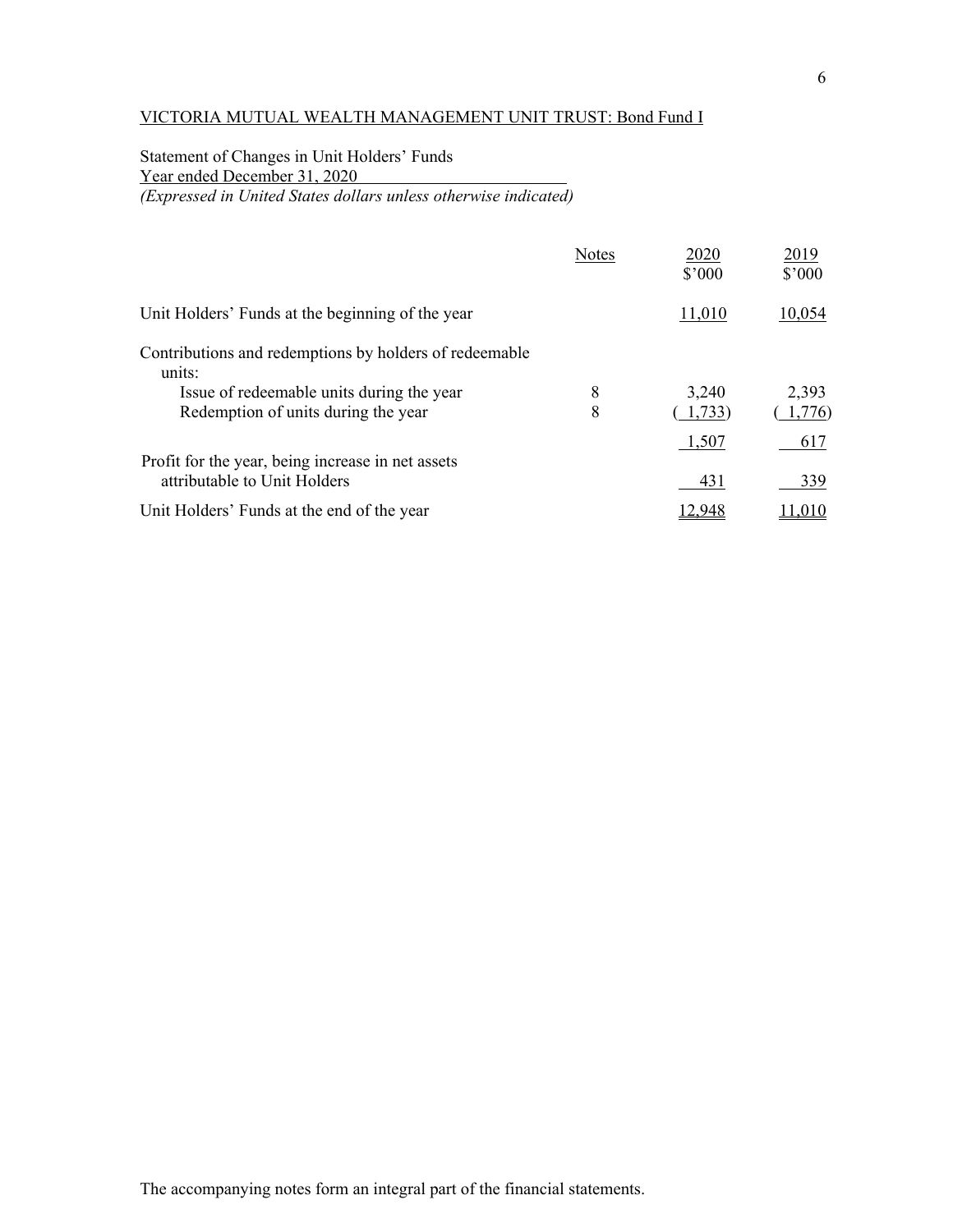Statement of Changes in Unit Holders' Funds Year ended December 31, 2020 *(Expressed in United States dollars unless otherwise indicated)* 

|                                                                                                                                                      | <b>Notes</b> | 2020<br>\$'000  | 2019<br>\$'000  |
|------------------------------------------------------------------------------------------------------------------------------------------------------|--------------|-----------------|-----------------|
| Unit Holders' Funds at the beginning of the year                                                                                                     |              | 11,010          | 10,054          |
| Contributions and redemptions by holders of redeemable<br>units:<br>Issue of redeemable units during the year<br>Redemption of units during the year | 8<br>8       | 3,240<br>1,733) | 2,393<br>1,776) |
| Profit for the year, being increase in net assets<br>attributable to Unit Holders                                                                    |              | 1,507<br>431    | 617<br>339      |
| Unit Holders' Funds at the end of the year                                                                                                           |              |                 |                 |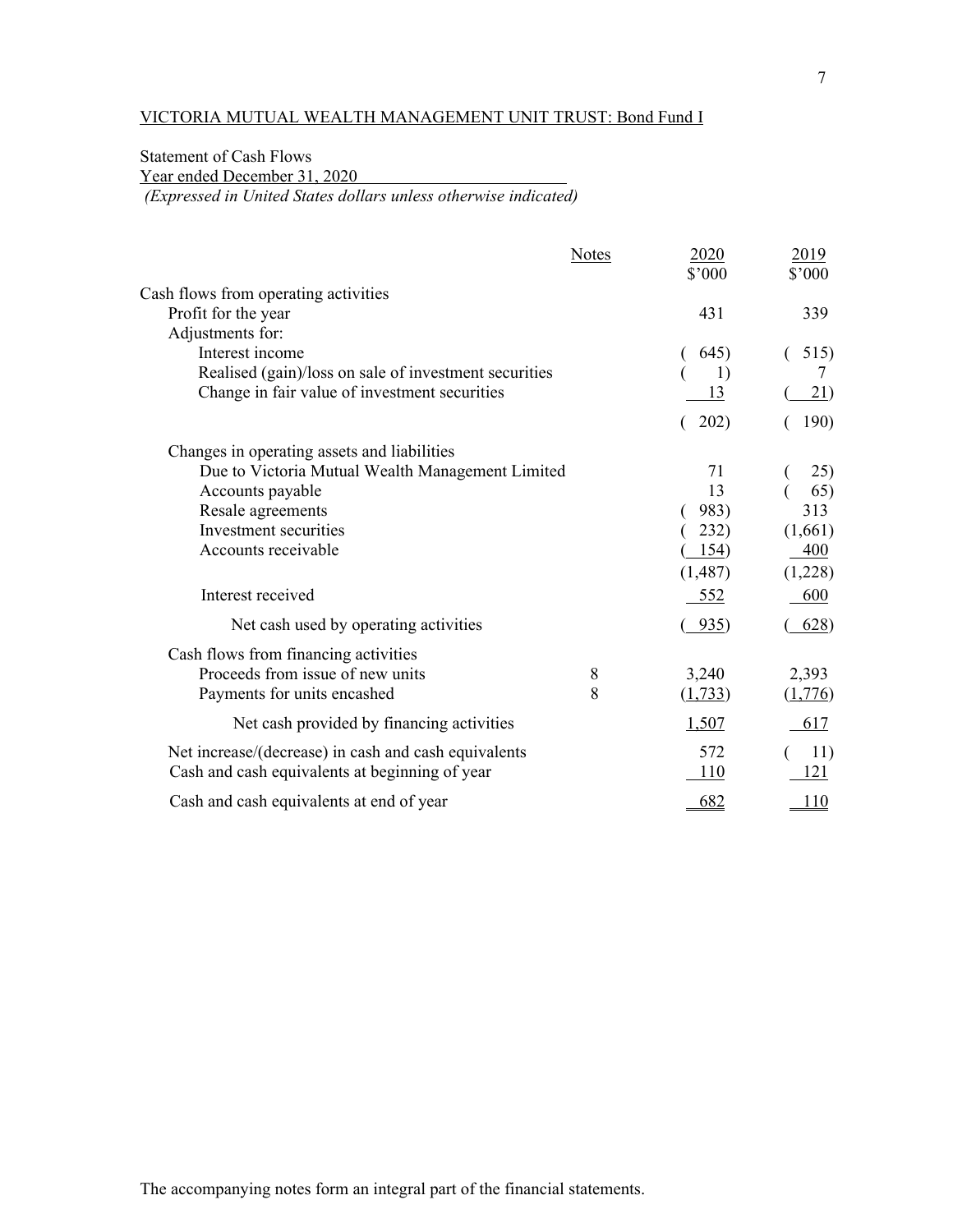## Statement of Cash Flows

Year ended December 31, 2020

 *(Expressed in United States dollars unless otherwise indicated)* 

|                                                       | <b>Notes</b> | 2020<br>\$'000 | 2019<br>\$'000 |
|-------------------------------------------------------|--------------|----------------|----------------|
| Cash flows from operating activities                  |              |                |                |
| Profit for the year                                   |              | 431            | 339            |
| Adjustments for:                                      |              |                |                |
| Interest income                                       |              | 645)           | 515)           |
| Realised (gain)/loss on sale of investment securities |              | 1)             |                |
| Change in fair value of investment securities         |              | 13             | 21)            |
|                                                       |              | (202)          | 190)           |
| Changes in operating assets and liabilities           |              |                |                |
| Due to Victoria Mutual Wealth Management Limited      |              | 71             | 25)            |
| Accounts payable                                      |              | 13             | 65)            |
| Resale agreements                                     |              | 983)           | 313            |
| Investment securities                                 |              | 232)           | (1,661)        |
| Accounts receivable                                   |              | 154)           | 400            |
|                                                       |              | (1, 487)       | (1,228)        |
| Interest received                                     |              | <u>552</u>     | 600            |
| Net cash used by operating activities                 |              | (935)          | 628)           |
| Cash flows from financing activities                  |              |                |                |
| Proceeds from issue of new units                      | 8            | 3,240          | 2,393          |
| Payments for units encashed                           | 8            | (1, 733)       | (1,776)        |
| Net cash provided by financing activities             |              | 1,507          | 617            |
| Net increase/(decrease) in cash and cash equivalents  |              | 572            | 11)            |
| Cash and cash equivalents at beginning of year        |              | 110            | 121            |
| Cash and cash equivalents at end of year              |              | 682            | 110            |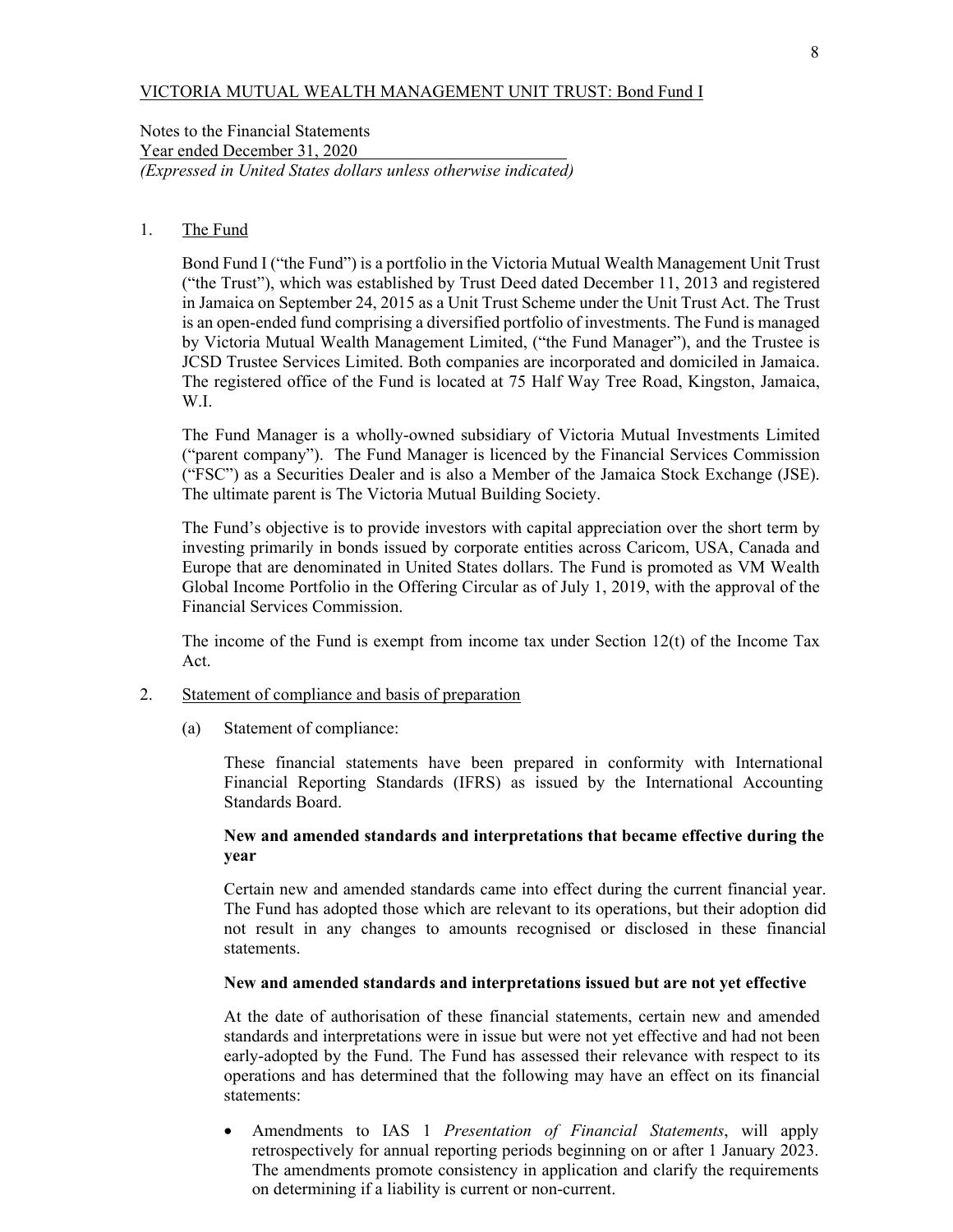Notes to the Financial Statements Year ended December 31, 2020 *(Expressed in United States dollars unless otherwise indicated)* 

## 1. The Fund

 Bond Fund I ("the Fund") is a portfolio in the Victoria Mutual Wealth Management Unit Trust ("the Trust"), which was established by Trust Deed dated December 11, 2013 and registered in Jamaica on September 24, 2015 as a Unit Trust Scheme under the Unit Trust Act. The Trust is an open-ended fund comprising a diversified portfolio of investments. The Fund is managed by Victoria Mutual Wealth Management Limited, ("the Fund Manager"), and the Trustee is JCSD Trustee Services Limited. Both companies are incorporated and domiciled in Jamaica. The registered office of the Fund is located at 75 Half Way Tree Road, Kingston, Jamaica, W.I.

The Fund Manager is a wholly-owned subsidiary of Victoria Mutual Investments Limited ("parent company"). The Fund Manager is licenced by the Financial Services Commission ("FSC") as a Securities Dealer and is also a Member of the Jamaica Stock Exchange (JSE). The ultimate parent is The Victoria Mutual Building Society.

 The Fund's objective is to provide investors with capital appreciation over the short term by investing primarily in bonds issued by corporate entities across Caricom, USA, Canada and Europe that are denominated in United States dollars. The Fund is promoted as VM Wealth Global Income Portfolio in the Offering Circular as of July 1, 2019, with the approval of the Financial Services Commission.

The income of the Fund is exempt from income tax under Section  $12(t)$  of the Income Tax Act.

#### 2. Statement of compliance and basis of preparation

(a) Statement of compliance:

These financial statements have been prepared in conformity with International Financial Reporting Standards (IFRS) as issued by the International Accounting Standards Board.

## **New and amended standards and interpretations that became effective during the year**

 Certain new and amended standards came into effect during the current financial year. The Fund has adopted those which are relevant to its operations, but their adoption did not result in any changes to amounts recognised or disclosed in these financial statements.

#### **New and amended standards and interpretations issued but are not yet effective**

 At the date of authorisation of these financial statements, certain new and amended standards and interpretations were in issue but were not yet effective and had not been early-adopted by the Fund. The Fund has assessed their relevance with respect to its operations and has determined that the following may have an effect on its financial statements:

 Amendments to IAS 1 *Presentation of Financial Statements*, will apply retrospectively for annual reporting periods beginning on or after 1 January 2023. The amendments promote consistency in application and clarify the requirements on determining if a liability is current or non-current.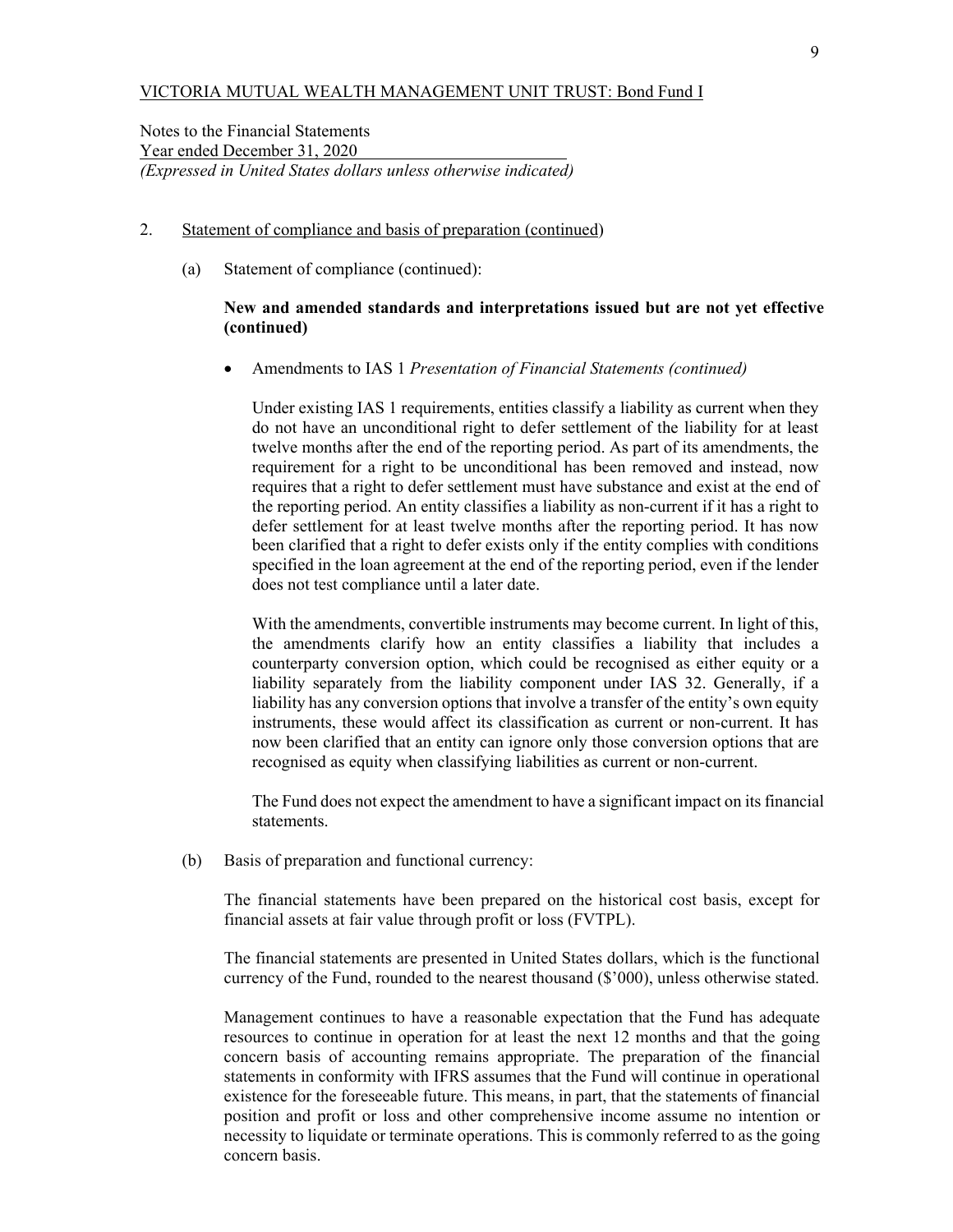Notes to the Financial Statements Year ended December 31, 2020 *(Expressed in United States dollars unless otherwise indicated)* 

- 2. Statement of compliance and basis of preparation (continued)
	- (a) Statement of compliance (continued):

## **New and amended standards and interpretations issued but are not yet effective (continued)**

Amendments to IAS 1 *Presentation of Financial Statements (continued)*

Under existing IAS 1 requirements, entities classify a liability as current when they do not have an unconditional right to defer settlement of the liability for at least twelve months after the end of the reporting period. As part of its amendments, the requirement for a right to be unconditional has been removed and instead, now requires that a right to defer settlement must have substance and exist at the end of the reporting period. An entity classifies a liability as non-current if it has a right to defer settlement for at least twelve months after the reporting period. It has now been clarified that a right to defer exists only if the entity complies with conditions specified in the loan agreement at the end of the reporting period, even if the lender does not test compliance until a later date.

With the amendments, convertible instruments may become current. In light of this, the amendments clarify how an entity classifies a liability that includes a counterparty conversion option, which could be recognised as either equity or a liability separately from the liability component under IAS 32. Generally, if a liability has any conversion options that involve a transfer of the entity's own equity instruments, these would affect its classification as current or non-current. It has now been clarified that an entity can ignore only those conversion options that are recognised as equity when classifying liabilities as current or non-current.

The Fund does not expect the amendment to have a significant impact on its financial statements.

(b) Basis of preparation and functional currency:

The financial statements have been prepared on the historical cost basis, except for financial assets at fair value through profit or loss (FVTPL).

The financial statements are presented in United States dollars, which is the functional currency of the Fund, rounded to the nearest thousand (\$'000), unless otherwise stated.

Management continues to have a reasonable expectation that the Fund has adequate resources to continue in operation for at least the next 12 months and that the going concern basis of accounting remains appropriate. The preparation of the financial statements in conformity with IFRS assumes that the Fund will continue in operational existence for the foreseeable future. This means, in part, that the statements of financial position and profit or loss and other comprehensive income assume no intention or necessity to liquidate or terminate operations. This is commonly referred to as the going concern basis.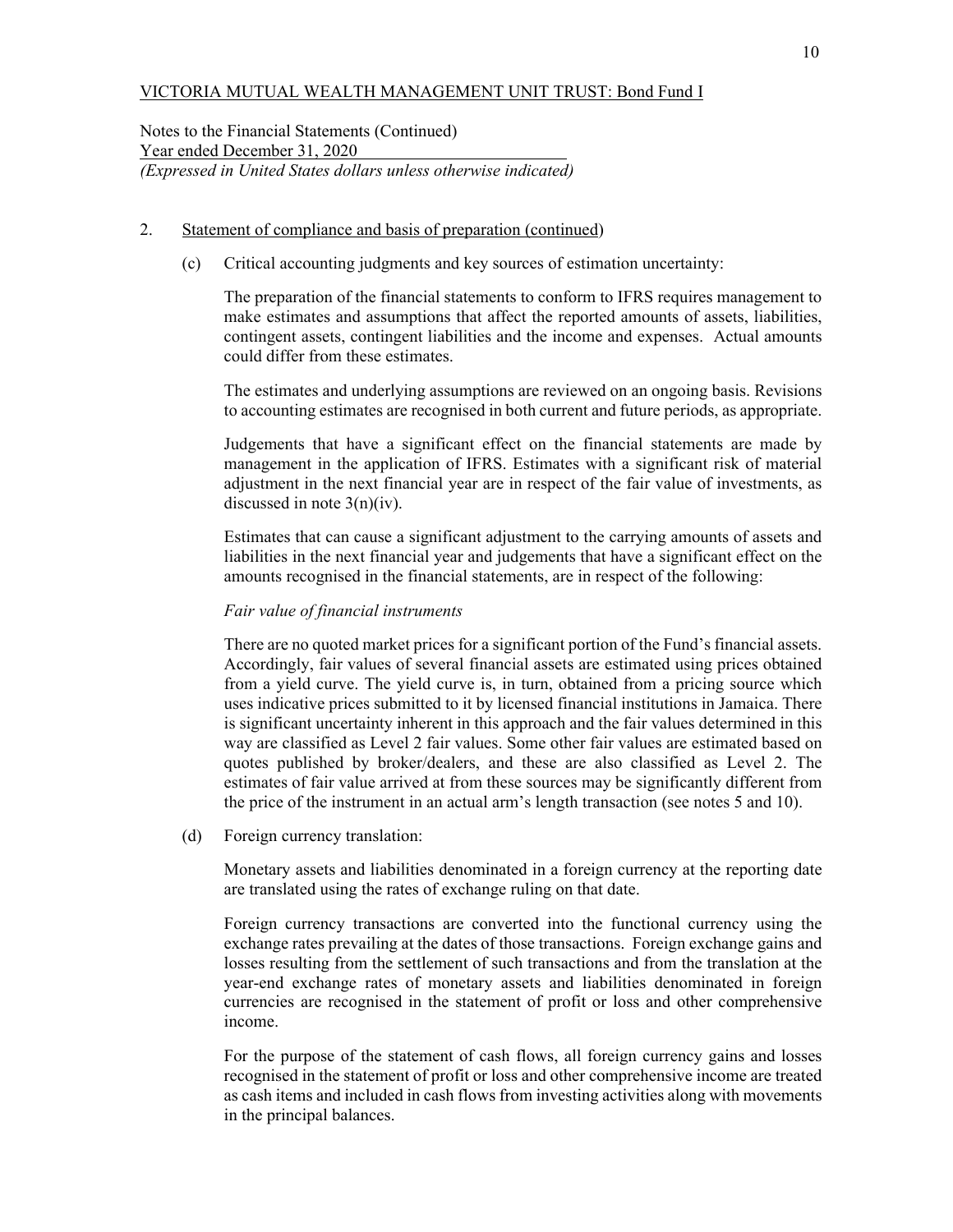Notes to the Financial Statements (Continued) Year ended December 31, 2020 *(Expressed in United States dollars unless otherwise indicated)* 

## 2. Statement of compliance and basis of preparation (continued)

(c) Critical accounting judgments and key sources of estimation uncertainty:

 The preparation of the financial statements to conform to IFRS requires management to make estimates and assumptions that affect the reported amounts of assets, liabilities, contingent assets, contingent liabilities and the income and expenses. Actual amounts could differ from these estimates.

 The estimates and underlying assumptions are reviewed on an ongoing basis. Revisions to accounting estimates are recognised in both current and future periods, as appropriate.

 Judgements that have a significant effect on the financial statements are made by management in the application of IFRS. Estimates with a significant risk of material adjustment in the next financial year are in respect of the fair value of investments, as discussed in note 3(n)(iv).

Estimates that can cause a significant adjustment to the carrying amounts of assets and liabilities in the next financial year and judgements that have a significant effect on the amounts recognised in the financial statements, are in respect of the following:

## *Fair value of financial instruments*

There are no quoted market prices for a significant portion of the Fund's financial assets. Accordingly, fair values of several financial assets are estimated using prices obtained from a yield curve. The yield curve is, in turn, obtained from a pricing source which uses indicative prices submitted to it by licensed financial institutions in Jamaica. There is significant uncertainty inherent in this approach and the fair values determined in this way are classified as Level 2 fair values. Some other fair values are estimated based on quotes published by broker/dealers, and these are also classified as Level 2. The estimates of fair value arrived at from these sources may be significantly different from the price of the instrument in an actual arm's length transaction (see notes 5 and 10).

(d) Foreign currency translation:

Monetary assets and liabilities denominated in a foreign currency at the reporting date are translated using the rates of exchange ruling on that date.

Foreign currency transactions are converted into the functional currency using the exchange rates prevailing at the dates of those transactions. Foreign exchange gains and losses resulting from the settlement of such transactions and from the translation at the year-end exchange rates of monetary assets and liabilities denominated in foreign currencies are recognised in the statement of profit or loss and other comprehensive income.

For the purpose of the statement of cash flows, all foreign currency gains and losses recognised in the statement of profit or loss and other comprehensive income are treated as cash items and included in cash flows from investing activities along with movements in the principal balances.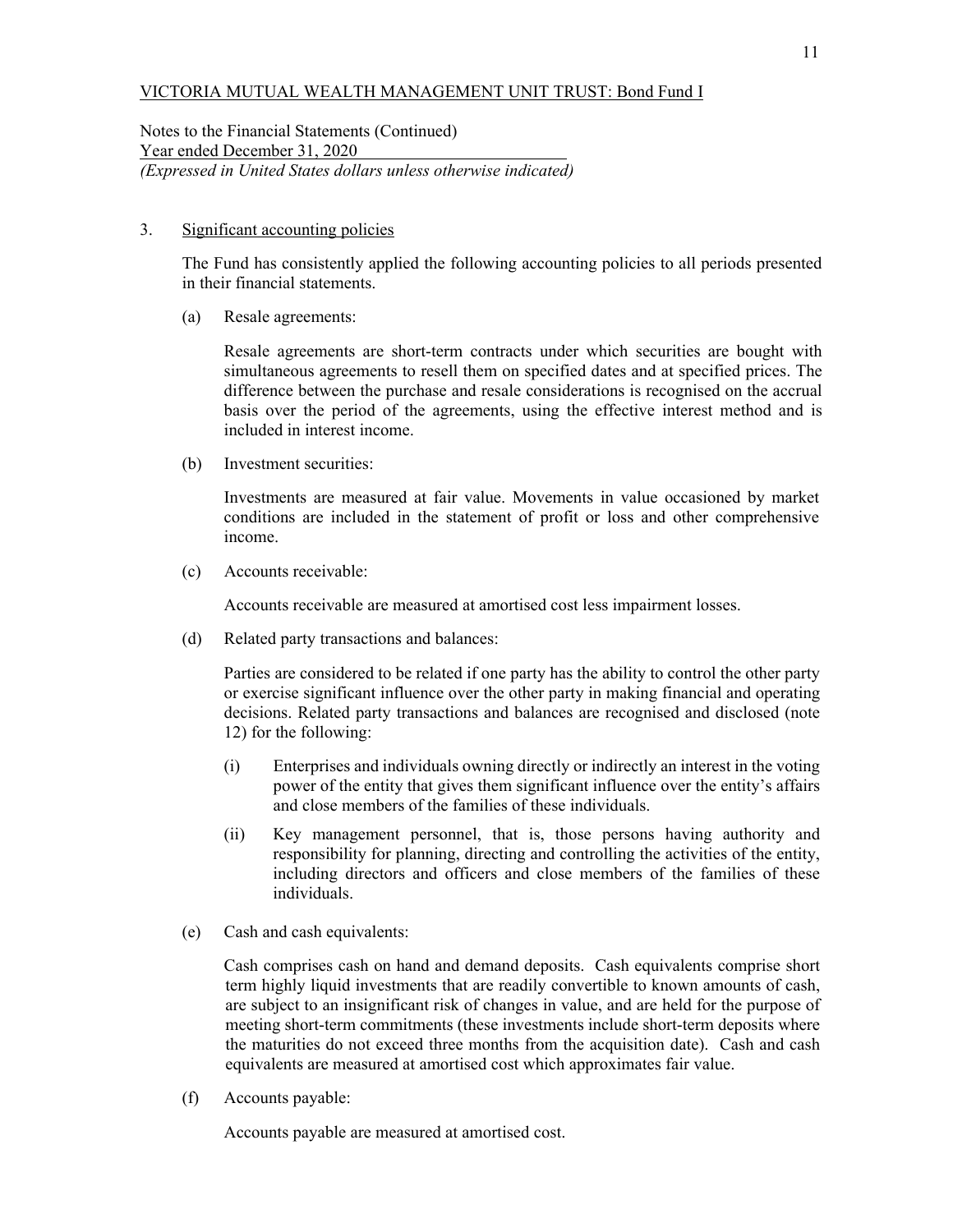Notes to the Financial Statements (Continued) Year ended December 31, 2020 *(Expressed in United States dollars unless otherwise indicated)* 

## 3. Significant accounting policies

The Fund has consistently applied the following accounting policies to all periods presented in their financial statements.

(a) Resale agreements:

 Resale agreements are short-term contracts under which securities are bought with simultaneous agreements to resell them on specified dates and at specified prices. The difference between the purchase and resale considerations is recognised on the accrual basis over the period of the agreements, using the effective interest method and is included in interest income.

(b) Investment securities:

Investments are measured at fair value. Movements in value occasioned by market conditions are included in the statement of profit or loss and other comprehensive income.

(c) Accounts receivable:

Accounts receivable are measured at amortised cost less impairment losses.

(d) Related party transactions and balances:

Parties are considered to be related if one party has the ability to control the other party or exercise significant influence over the other party in making financial and operating decisions. Related party transactions and balances are recognised and disclosed (note 12) for the following:

- (i) Enterprises and individuals owning directly or indirectly an interest in the voting power of the entity that gives them significant influence over the entity's affairs and close members of the families of these individuals.
- (ii) Key management personnel, that is, those persons having authority and responsibility for planning, directing and controlling the activities of the entity, including directors and officers and close members of the families of these individuals.
- (e) Cash and cash equivalents:

 Cash comprises cash on hand and demand deposits. Cash equivalents comprise short term highly liquid investments that are readily convertible to known amounts of cash, are subject to an insignificant risk of changes in value, and are held for the purpose of meeting short-term commitments (these investments include short-term deposits where the maturities do not exceed three months from the acquisition date). Cash and cash equivalents are measured at amortised cost which approximates fair value.

(f) Accounts payable:

Accounts payable are measured at amortised cost.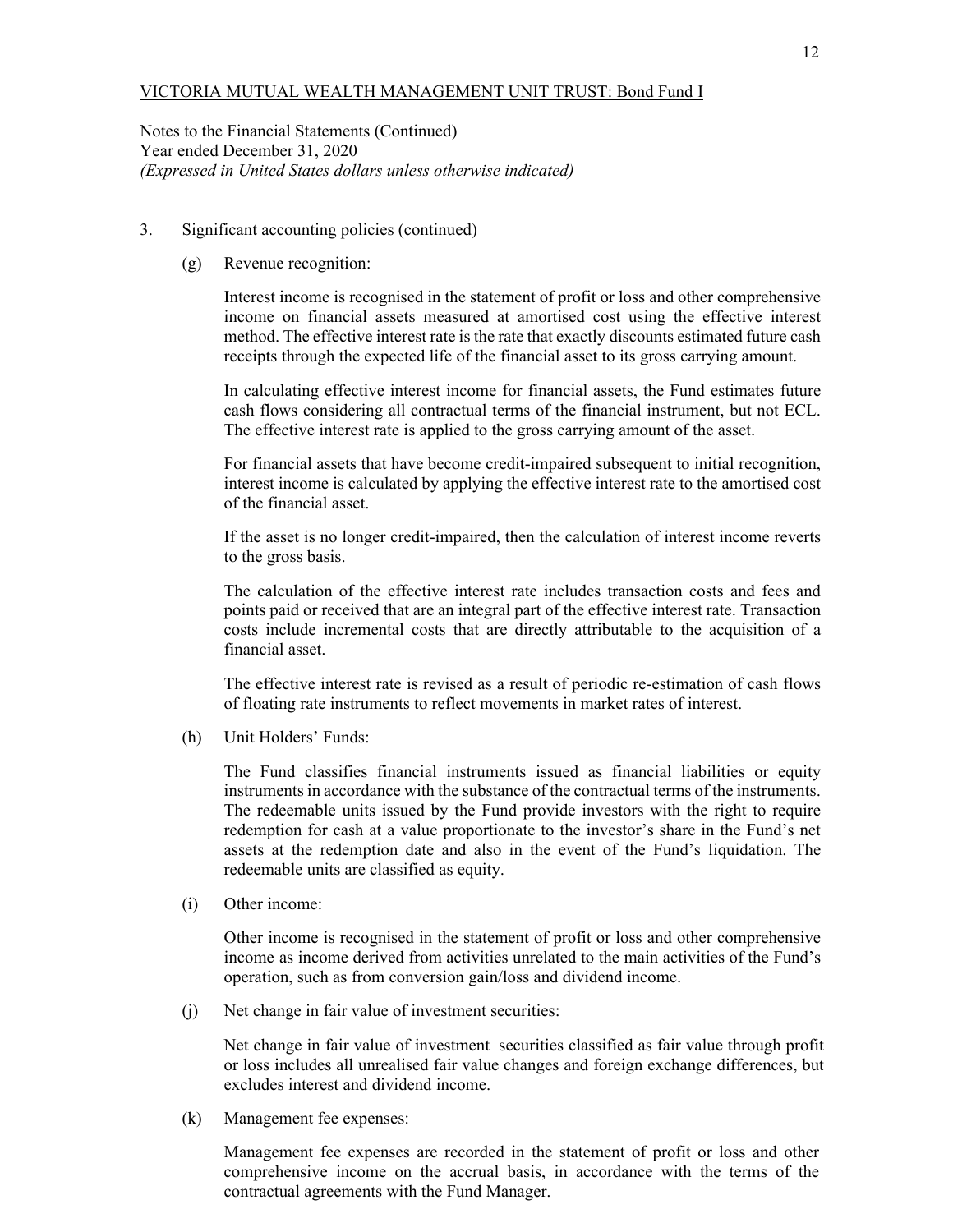Notes to the Financial Statements (Continued) Year ended December 31, 2020 *(Expressed in United States dollars unless otherwise indicated)* 

## 3. Significant accounting policies (continued)

(g) Revenue recognition:

Interest income is recognised in the statement of profit or loss and other comprehensive income on financial assets measured at amortised cost using the effective interest method. The effective interest rate is the rate that exactly discounts estimated future cash receipts through the expected life of the financial asset to its gross carrying amount.

In calculating effective interest income for financial assets, the Fund estimates future cash flows considering all contractual terms of the financial instrument, but not ECL. The effective interest rate is applied to the gross carrying amount of the asset.

For financial assets that have become credit-impaired subsequent to initial recognition, interest income is calculated by applying the effective interest rate to the amortised cost of the financial asset.

If the asset is no longer credit-impaired, then the calculation of interest income reverts to the gross basis.

The calculation of the effective interest rate includes transaction costs and fees and points paid or received that are an integral part of the effective interest rate. Transaction costs include incremental costs that are directly attributable to the acquisition of a financial asset.

The effective interest rate is revised as a result of periodic re-estimation of cash flows of floating rate instruments to reflect movements in market rates of interest.

(h) Unit Holders' Funds:

The Fund classifies financial instruments issued as financial liabilities or equity instruments in accordance with the substance of the contractual terms of the instruments. The redeemable units issued by the Fund provide investors with the right to require redemption for cash at a value proportionate to the investor's share in the Fund's net assets at the redemption date and also in the event of the Fund's liquidation. The redeemable units are classified as equity.

(i) Other income:

Other income is recognised in the statement of profit or loss and other comprehensive income as income derived from activities unrelated to the main activities of the Fund's operation, such as from conversion gain/loss and dividend income.

(j) Net change in fair value of investment securities:

Net change in fair value of investment securities classified as fair value through profit or loss includes all unrealised fair value changes and foreign exchange differences, but excludes interest and dividend income.

(k) Management fee expenses:

Management fee expenses are recorded in the statement of profit or loss and other comprehensive income on the accrual basis, in accordance with the terms of the contractual agreements with the Fund Manager.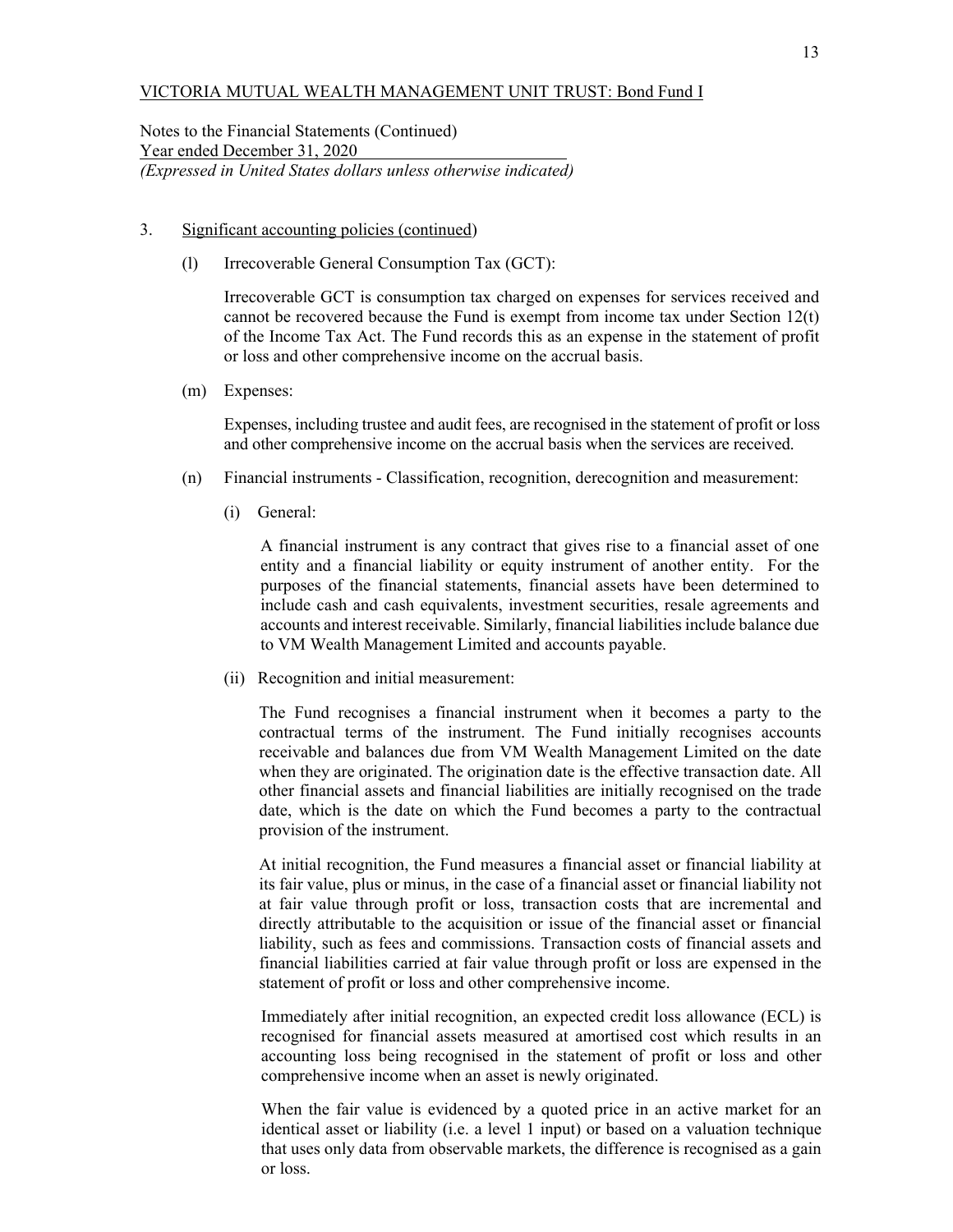Notes to the Financial Statements (Continued) Year ended December 31, 2020 *(Expressed in United States dollars unless otherwise indicated)* 

- 3. Significant accounting policies (continued)
	- (l) Irrecoverable General Consumption Tax (GCT):

Irrecoverable GCT is consumption tax charged on expenses for services received and cannot be recovered because the Fund is exempt from income tax under Section 12(t) of the Income Tax Act. The Fund records this as an expense in the statement of profit or loss and other comprehensive income on the accrual basis.

(m) Expenses:

Expenses, including trustee and audit fees, are recognised in the statement of profit or loss and other comprehensive income on the accrual basis when the services are received.

- (n) Financial instruments Classification, recognition, derecognition and measurement:
	- (i) General:

A financial instrument is any contract that gives rise to a financial asset of one entity and a financial liability or equity instrument of another entity. For the purposes of the financial statements, financial assets have been determined to include cash and cash equivalents, investment securities, resale agreements and accounts and interest receivable. Similarly, financial liabilities include balance due to VM Wealth Management Limited and accounts payable.

(ii) Recognition and initial measurement:

The Fund recognises a financial instrument when it becomes a party to the contractual terms of the instrument. The Fund initially recognises accounts receivable and balances due from VM Wealth Management Limited on the date when they are originated. The origination date is the effective transaction date. All other financial assets and financial liabilities are initially recognised on the trade date, which is the date on which the Fund becomes a party to the contractual provision of the instrument.

At initial recognition, the Fund measures a financial asset or financial liability at its fair value, plus or minus, in the case of a financial asset or financial liability not at fair value through profit or loss, transaction costs that are incremental and directly attributable to the acquisition or issue of the financial asset or financial liability, such as fees and commissions. Transaction costs of financial assets and financial liabilities carried at fair value through profit or loss are expensed in the statement of profit or loss and other comprehensive income.

Immediately after initial recognition, an expected credit loss allowance (ECL) is recognised for financial assets measured at amortised cost which results in an accounting loss being recognised in the statement of profit or loss and other comprehensive income when an asset is newly originated.

When the fair value is evidenced by a quoted price in an active market for an identical asset or liability (i.e. a level 1 input) or based on a valuation technique that uses only data from observable markets, the difference is recognised as a gain or loss.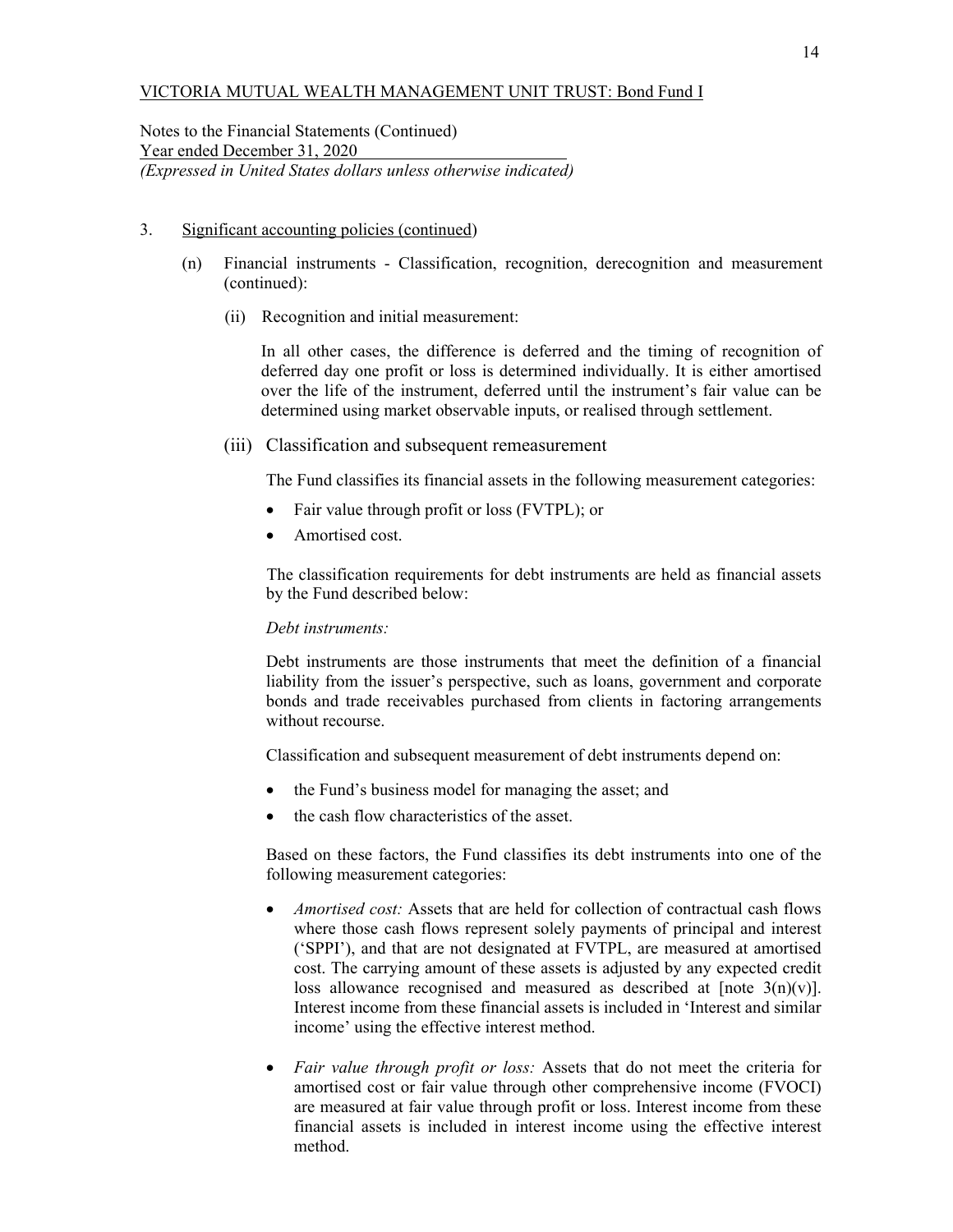Notes to the Financial Statements (Continued) Year ended December 31, 2020 *(Expressed in United States dollars unless otherwise indicated)* 

#### 3. Significant accounting policies (continued)

- (n) Financial instruments Classification, recognition, derecognition and measurement (continued):
	- (ii) Recognition and initial measurement:

In all other cases, the difference is deferred and the timing of recognition of deferred day one profit or loss is determined individually. It is either amortised over the life of the instrument, deferred until the instrument's fair value can be determined using market observable inputs, or realised through settlement.

(iii) Classification and subsequent remeasurement

The Fund classifies its financial assets in the following measurement categories:

- Fair value through profit or loss (FVTPL); or
- Amortised cost.

The classification requirements for debt instruments are held as financial assets by the Fund described below:

## *Debt instruments:*

Debt instruments are those instruments that meet the definition of a financial liability from the issuer's perspective, such as loans, government and corporate bonds and trade receivables purchased from clients in factoring arrangements without recourse.

Classification and subsequent measurement of debt instruments depend on:

- the Fund's business model for managing the asset; and
- the cash flow characteristics of the asset.

Based on these factors, the Fund classifies its debt instruments into one of the following measurement categories:

- *Amortised cost:* Assets that are held for collection of contractual cash flows where those cash flows represent solely payments of principal and interest ('SPPI'), and that are not designated at FVTPL, are measured at amortised cost. The carrying amount of these assets is adjusted by any expected credit loss allowance recognised and measured as described at  $[note 3(n)(v)].$ Interest income from these financial assets is included in 'Interest and similar income' using the effective interest method.
- *Fair value through profit or loss:* Assets that do not meet the criteria for amortised cost or fair value through other comprehensive income (FVOCI) are measured at fair value through profit or loss. Interest income from these financial assets is included in interest income using the effective interest method.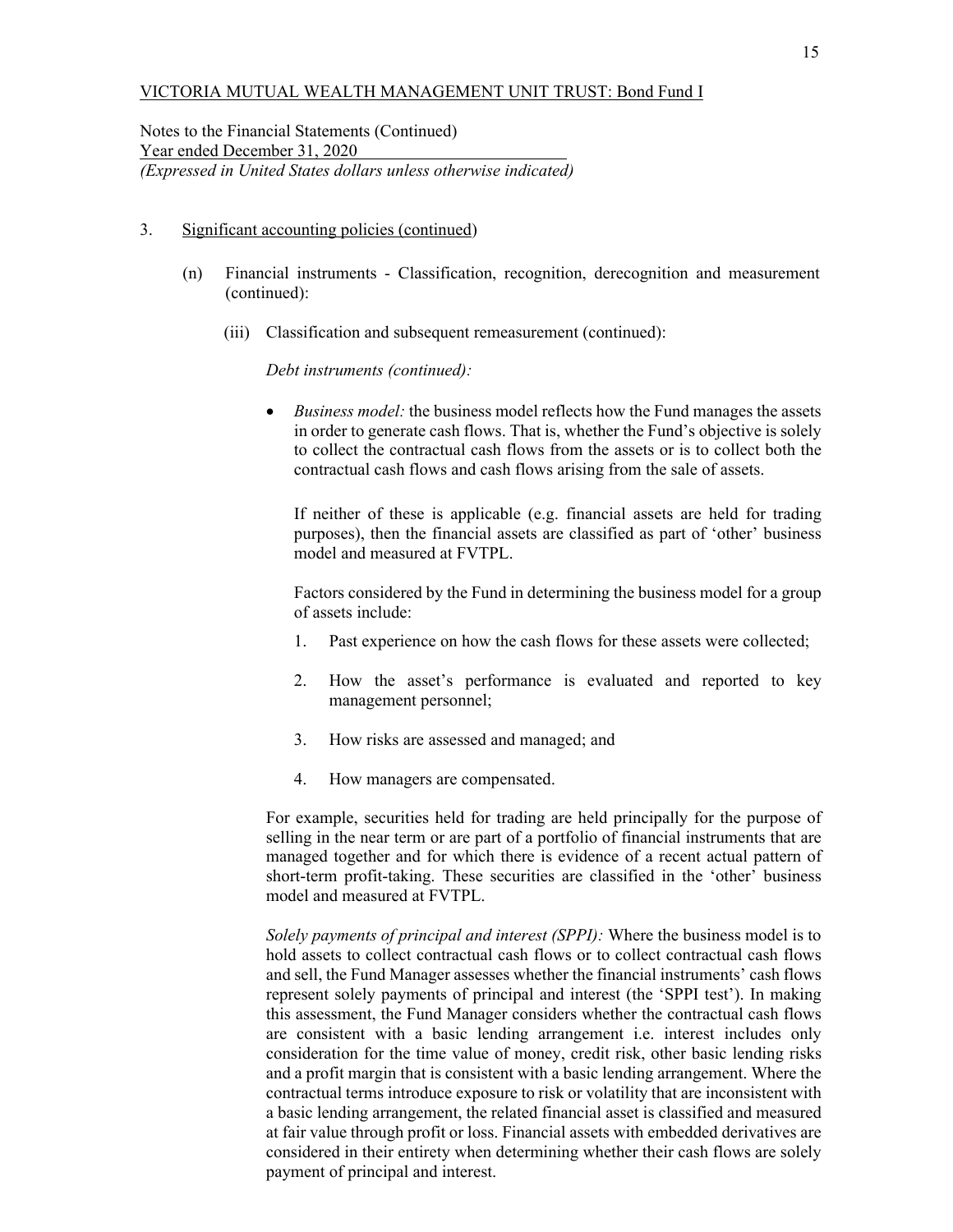Notes to the Financial Statements (Continued) Year ended December 31, 2020 *(Expressed in United States dollars unless otherwise indicated)* 

- 3. Significant accounting policies (continued)
	- (n) Financial instruments Classification, recognition, derecognition and measurement (continued):
		- (iii) Classification and subsequent remeasurement (continued):

*Debt instruments (continued):* 

 *Business model:* the business model reflects how the Fund manages the assets in order to generate cash flows. That is, whether the Fund's objective is solely to collect the contractual cash flows from the assets or is to collect both the contractual cash flows and cash flows arising from the sale of assets.

If neither of these is applicable (e.g. financial assets are held for trading purposes), then the financial assets are classified as part of 'other' business model and measured at FVTPL.

Factors considered by the Fund in determining the business model for a group of assets include:

- 1. Past experience on how the cash flows for these assets were collected;
- 2. How the asset's performance is evaluated and reported to key management personnel;
- 3. How risks are assessed and managed; and
- 4. How managers are compensated.

For example, securities held for trading are held principally for the purpose of selling in the near term or are part of a portfolio of financial instruments that are managed together and for which there is evidence of a recent actual pattern of short-term profit-taking. These securities are classified in the 'other' business model and measured at FVTPL.

*Solely payments of principal and interest (SPPI):* Where the business model is to hold assets to collect contractual cash flows or to collect contractual cash flows and sell, the Fund Manager assesses whether the financial instruments' cash flows represent solely payments of principal and interest (the 'SPPI test'). In making this assessment, the Fund Manager considers whether the contractual cash flows are consistent with a basic lending arrangement i.e. interest includes only consideration for the time value of money, credit risk, other basic lending risks and a profit margin that is consistent with a basic lending arrangement. Where the contractual terms introduce exposure to risk or volatility that are inconsistent with a basic lending arrangement, the related financial asset is classified and measured at fair value through profit or loss. Financial assets with embedded derivatives are considered in their entirety when determining whether their cash flows are solely payment of principal and interest.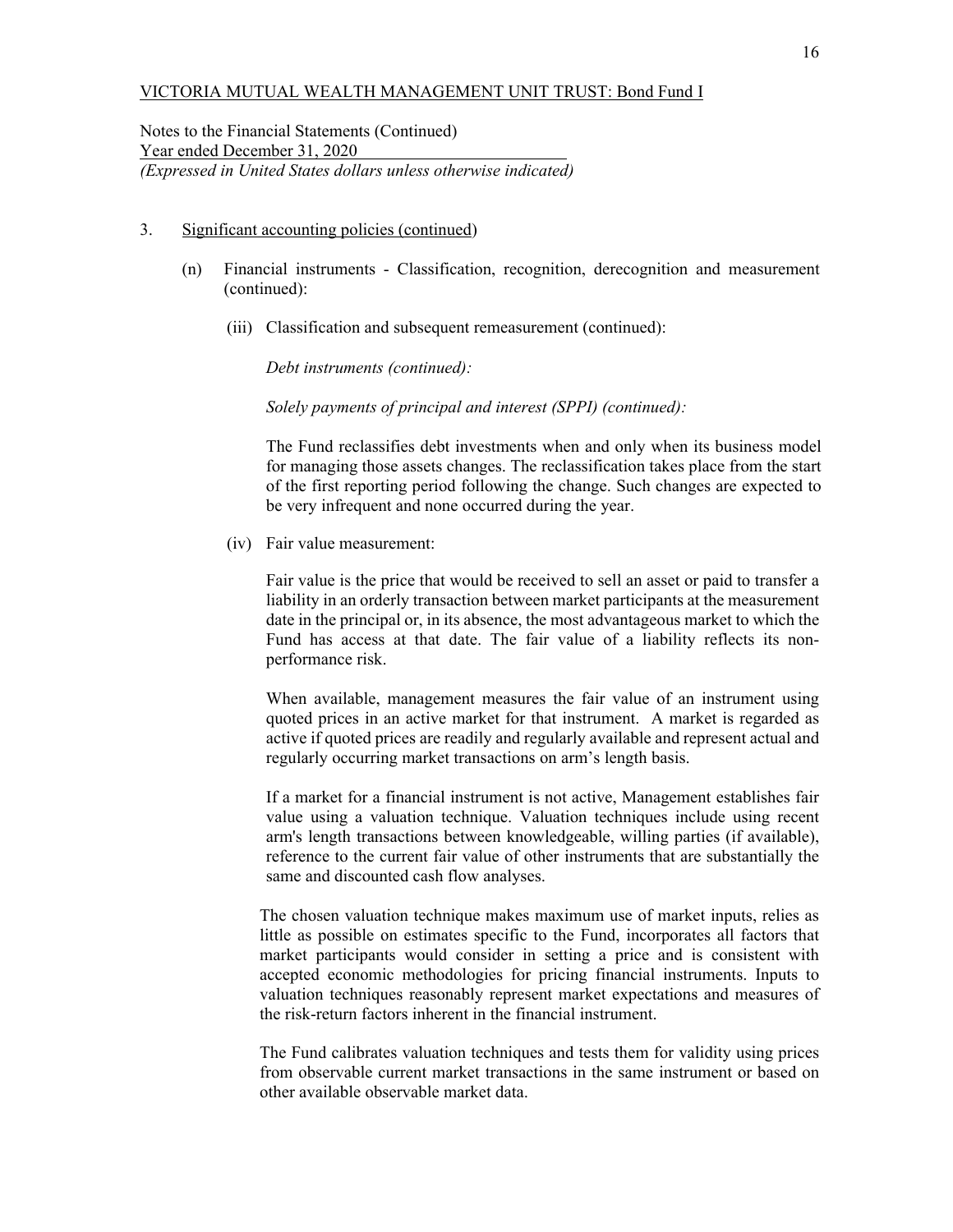Notes to the Financial Statements (Continued) Year ended December 31, 2020 *(Expressed in United States dollars unless otherwise indicated)* 

- 3. Significant accounting policies (continued)
	- (n) Financial instruments Classification, recognition, derecognition and measurement (continued):
		- (iii) Classification and subsequent remeasurement (continued):

*Debt instruments (continued):* 

*Solely payments of principal and interest (SPPI) (continued):* 

The Fund reclassifies debt investments when and only when its business model for managing those assets changes. The reclassification takes place from the start of the first reporting period following the change. Such changes are expected to be very infrequent and none occurred during the year.

(iv) Fair value measurement:

Fair value is the price that would be received to sell an asset or paid to transfer a liability in an orderly transaction between market participants at the measurement date in the principal or, in its absence, the most advantageous market to which the Fund has access at that date. The fair value of a liability reflects its nonperformance risk.

When available, management measures the fair value of an instrument using quoted prices in an active market for that instrument. A market is regarded as active if quoted prices are readily and regularly available and represent actual and regularly occurring market transactions on arm's length basis.

If a market for a financial instrument is not active, Management establishes fair value using a valuation technique. Valuation techniques include using recent arm's length transactions between knowledgeable, willing parties (if available), reference to the current fair value of other instruments that are substantially the same and discounted cash flow analyses.

The chosen valuation technique makes maximum use of market inputs, relies as little as possible on estimates specific to the Fund, incorporates all factors that market participants would consider in setting a price and is consistent with accepted economic methodologies for pricing financial instruments. Inputs to valuation techniques reasonably represent market expectations and measures of the risk-return factors inherent in the financial instrument.

The Fund calibrates valuation techniques and tests them for validity using prices from observable current market transactions in the same instrument or based on other available observable market data.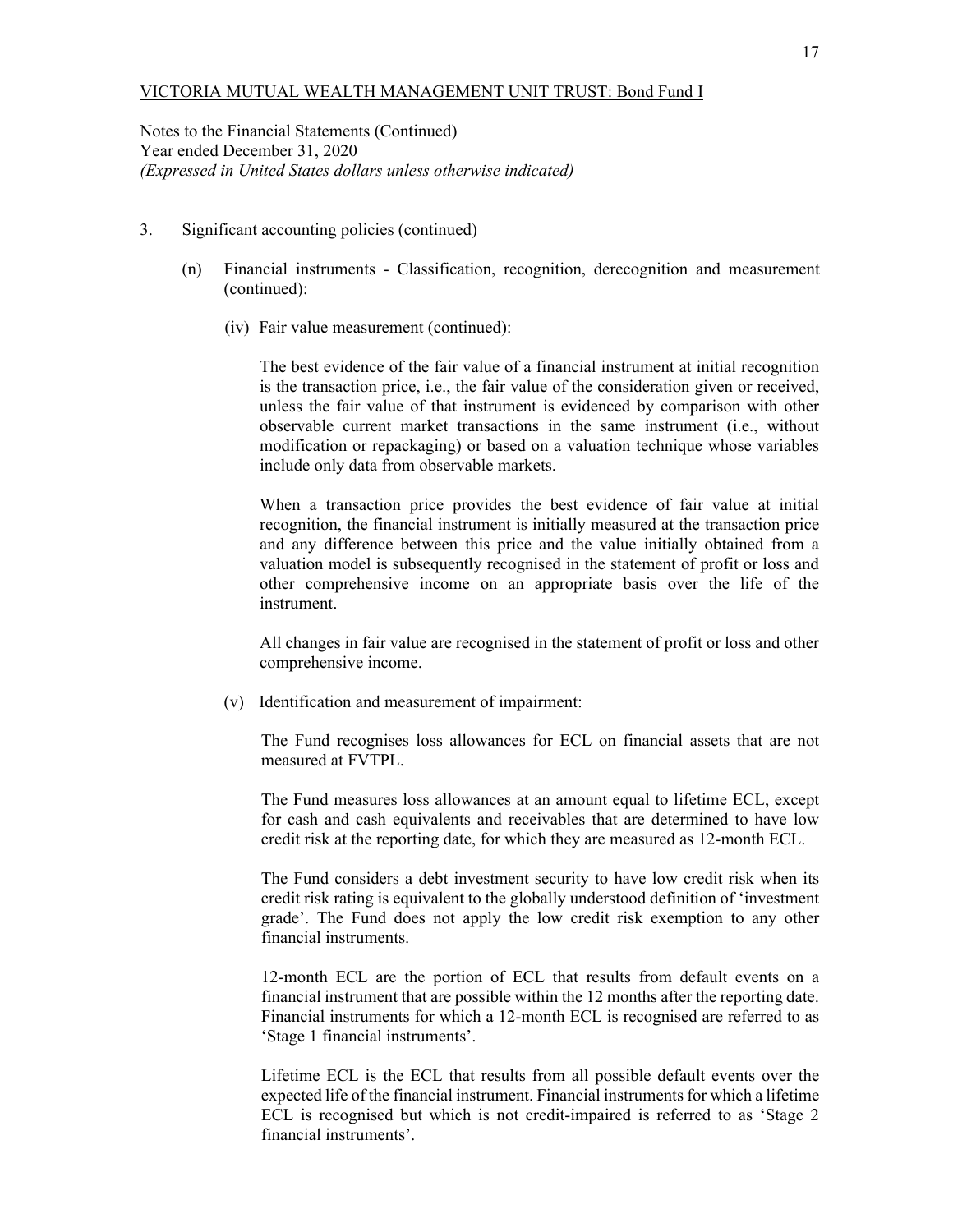Notes to the Financial Statements (Continued) Year ended December 31, 2020 *(Expressed in United States dollars unless otherwise indicated)* 

#### 3. Significant accounting policies (continued)

- (n) Financial instruments Classification, recognition, derecognition and measurement (continued):
	- (iv) Fair value measurement (continued):

The best evidence of the fair value of a financial instrument at initial recognition is the transaction price, i.e., the fair value of the consideration given or received, unless the fair value of that instrument is evidenced by comparison with other observable current market transactions in the same instrument (i.e., without modification or repackaging) or based on a valuation technique whose variables include only data from observable markets.

When a transaction price provides the best evidence of fair value at initial recognition, the financial instrument is initially measured at the transaction price and any difference between this price and the value initially obtained from a valuation model is subsequently recognised in the statement of profit or loss and other comprehensive income on an appropriate basis over the life of the instrument.

All changes in fair value are recognised in the statement of profit or loss and other comprehensive income.

(v) Identification and measurement of impairment:

The Fund recognises loss allowances for ECL on financial assets that are not measured at FVTPL.

The Fund measures loss allowances at an amount equal to lifetime ECL, except for cash and cash equivalents and receivables that are determined to have low credit risk at the reporting date, for which they are measured as 12-month ECL.

The Fund considers a debt investment security to have low credit risk when its credit risk rating is equivalent to the globally understood definition of 'investment grade'. The Fund does not apply the low credit risk exemption to any other financial instruments.

12-month ECL are the portion of ECL that results from default events on a financial instrument that are possible within the 12 months after the reporting date. Financial instruments for which a 12-month ECL is recognised are referred to as 'Stage 1 financial instruments'.

Lifetime ECL is the ECL that results from all possible default events over the expected life of the financial instrument. Financial instruments for which a lifetime ECL is recognised but which is not credit-impaired is referred to as 'Stage 2 financial instruments'.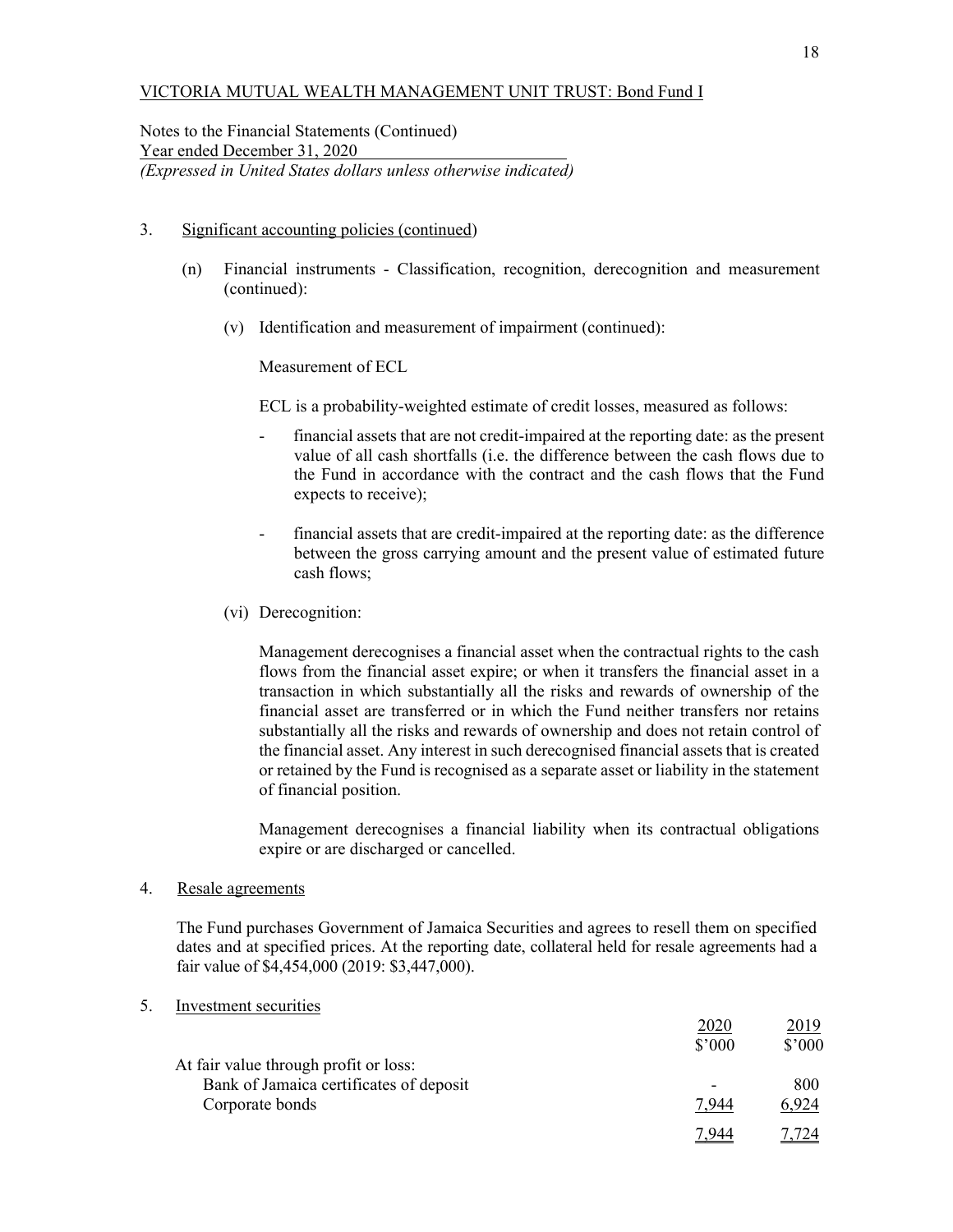Notes to the Financial Statements (Continued) Year ended December 31, 2020 *(Expressed in United States dollars unless otherwise indicated)* 

- 3. Significant accounting policies (continued)
	- (n) Financial instruments Classification, recognition, derecognition and measurement (continued):
		- (v) Identification and measurement of impairment (continued):

Measurement of ECL

ECL is a probability-weighted estimate of credit losses, measured as follows:

- financial assets that are not credit-impaired at the reporting date: as the present value of all cash shortfalls (i.e. the difference between the cash flows due to the Fund in accordance with the contract and the cash flows that the Fund expects to receive);
- financial assets that are credit-impaired at the reporting date: as the difference between the gross carrying amount and the present value of estimated future cash flows;
- (vi) Derecognition:

Management derecognises a financial asset when the contractual rights to the cash flows from the financial asset expire; or when it transfers the financial asset in a transaction in which substantially all the risks and rewards of ownership of the financial asset are transferred or in which the Fund neither transfers nor retains substantially all the risks and rewards of ownership and does not retain control of the financial asset. Any interest in such derecognised financial assets that is created or retained by the Fund is recognised as a separate asset or liability in the statement of financial position.

Management derecognises a financial liability when its contractual obligations expire or are discharged or cancelled.

#### 4. Resale agreements

The Fund purchases Government of Jamaica Securities and agrees to resell them on specified dates and at specified prices. At the reporting date, collateral held for resale agreements had a fair value of \$4,454,000 (2019: \$3,447,000).

5. Investment securities

|                                         | 2020                     | 2019   |
|-----------------------------------------|--------------------------|--------|
|                                         | \$'000                   | \$'000 |
| At fair value through profit or loss:   |                          |        |
| Bank of Jamaica certificates of deposit | $\overline{\phantom{0}}$ | 800    |
| Corporate bonds                         | 7.944                    | 6.924  |
|                                         |                          |        |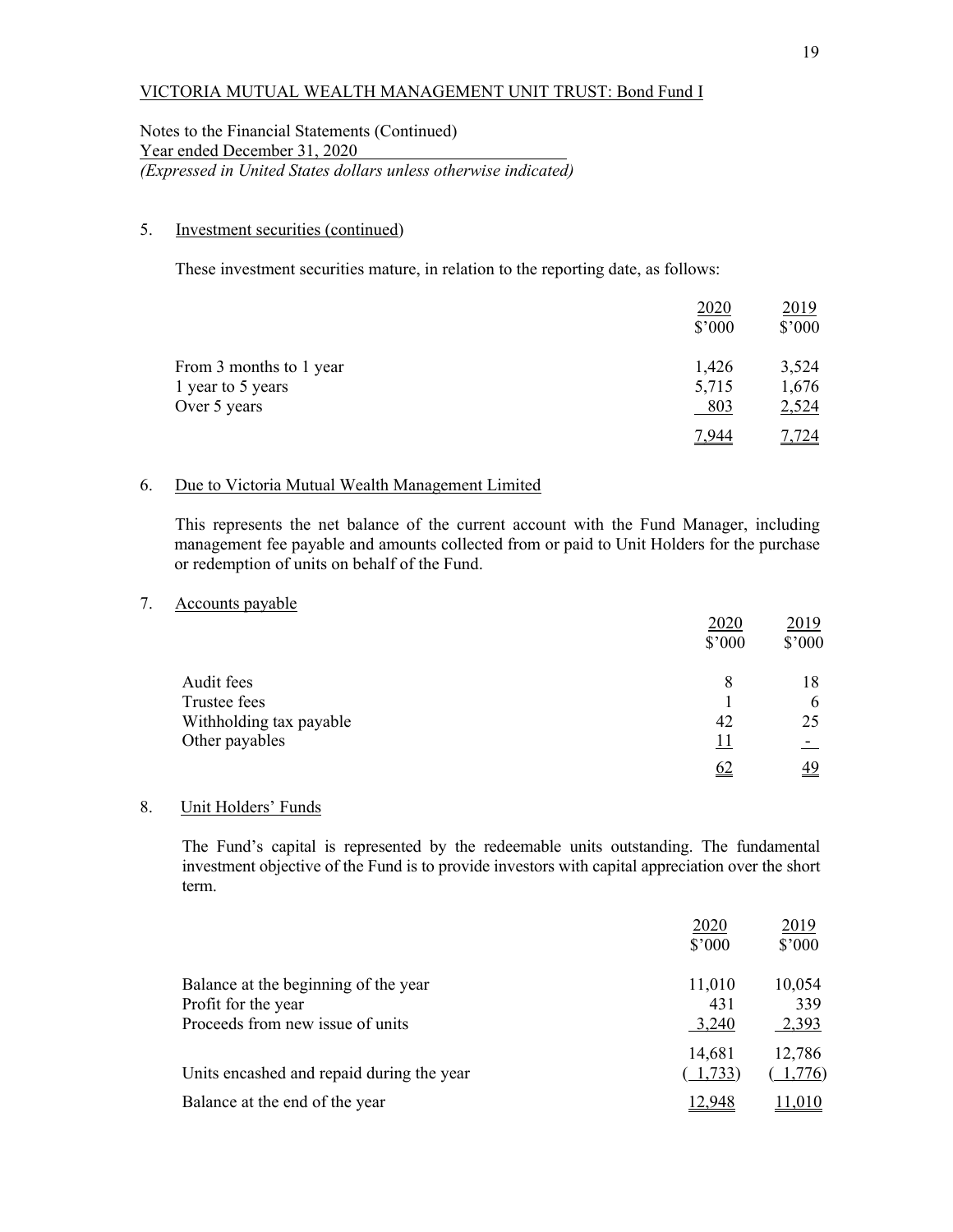Notes to the Financial Statements (Continued) Year ended December 31, 2020 *(Expressed in United States dollars unless otherwise indicated)* 

### 5. Investment securities (continued)

These investment securities mature, in relation to the reporting date, as follows:

|                         | 2020<br>\$'000 | 2019<br>\$'000 |
|-------------------------|----------------|----------------|
| From 3 months to 1 year | 1,426          | 3,524          |
| 1 year to 5 years       | 5,715          | 1,676          |
| Over 5 years            | 803            | 2,524          |
|                         | 7.944          | 7.724          |

#### 6. Due to Victoria Mutual Wealth Management Limited

This represents the net balance of the current account with the Fund Manager, including management fee payable and amounts collected from or paid to Unit Holders for the purchase or redemption of units on behalf of the Fund.

### 7. Accounts payable

|                         | 2020   | 2019   |
|-------------------------|--------|--------|
|                         | \$'000 | \$'000 |
| Audit fees              | 8      | 18     |
| Trustee fees            |        | 6      |
| Withholding tax payable | 42     | 25     |
| Other payables          | 11     |        |
|                         |        | 49     |

## 8. Unit Holders' Funds

The Fund's capital is represented by the redeemable units outstanding. The fundamental investment objective of the Fund is to provide investors with capital appreciation over the short term.

|                                           | 2020   | 2019   |
|-------------------------------------------|--------|--------|
|                                           | \$'000 | \$'000 |
| Balance at the beginning of the year      | 11,010 | 10,054 |
| Profit for the year                       | 431    | 339    |
| Proceeds from new issue of units          | 3,240  | 2,393  |
|                                           | 14,681 | 12,786 |
| Units encashed and repaid during the year | 1,733  | 1,776  |
| Balance at the end of the year            |        | .010   |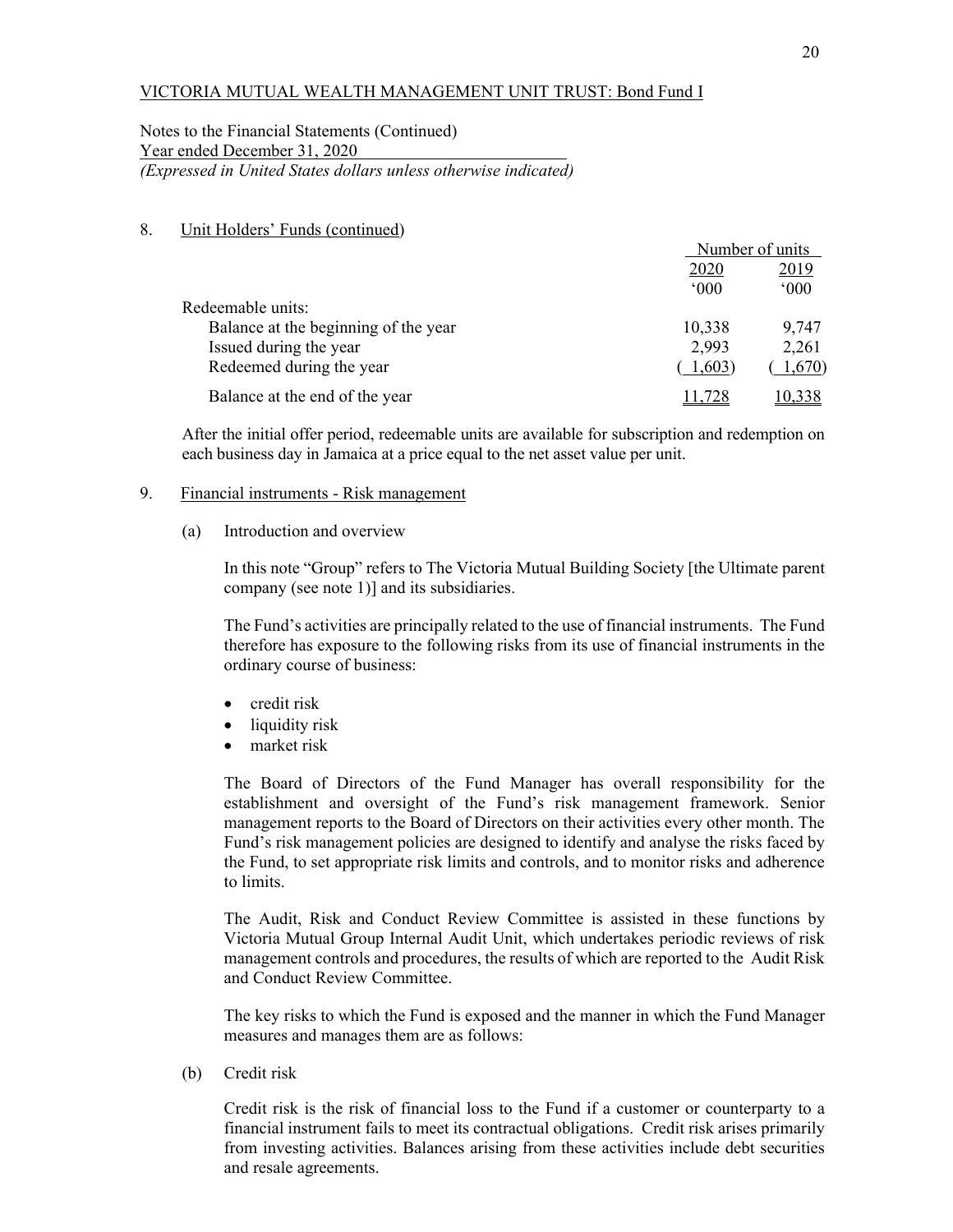Notes to the Financial Statements (Continued) Year ended December 31, 2020 *(Expressed in United States dollars unless otherwise indicated)* 

## 8. Unit Holders' Funds (continued)

|                                      | Number of units |        |
|--------------------------------------|-----------------|--------|
|                                      | 2020            | 2019   |
|                                      | $000^{\circ}$   | $000*$ |
| Redeemable units:                    |                 |        |
| Balance at the beginning of the year | 10,338          | 9,747  |
| Issued during the year               | 2,993           | 2,261  |
| Redeemed during the year             | 1,603           | 1,670  |
| Balance at the end of the year       | .728            | 10.338 |

After the initial offer period, redeemable units are available for subscription and redemption on each business day in Jamaica at a price equal to the net asset value per unit.

#### 9. Financial instruments - Risk management

### (a) Introduction and overview

 In this note "Group" refers to The Victoria Mutual Building Society [the Ultimate parent company (see note 1)] and its subsidiaries.

The Fund's activities are principally related to the use of financial instruments. The Fund therefore has exposure to the following risks from its use of financial instruments in the ordinary course of business:

- credit risk
- liquidity risk
- market risk

The Board of Directors of the Fund Manager has overall responsibility for the establishment and oversight of the Fund's risk management framework. Senior management reports to the Board of Directors on their activities every other month. The Fund's risk management policies are designed to identify and analyse the risks faced by the Fund, to set appropriate risk limits and controls, and to monitor risks and adherence to limits.

The Audit, Risk and Conduct Review Committee is assisted in these functions by Victoria Mutual Group Internal Audit Unit, which undertakes periodic reviews of risk management controls and procedures, the results of which are reported to the Audit Risk and Conduct Review Committee.

The key risks to which the Fund is exposed and the manner in which the Fund Manager measures and manages them are as follows:

(b) Credit risk

Credit risk is the risk of financial loss to the Fund if a customer or counterparty to a financial instrument fails to meet its contractual obligations. Credit risk arises primarily from investing activities. Balances arising from these activities include debt securities and resale agreements.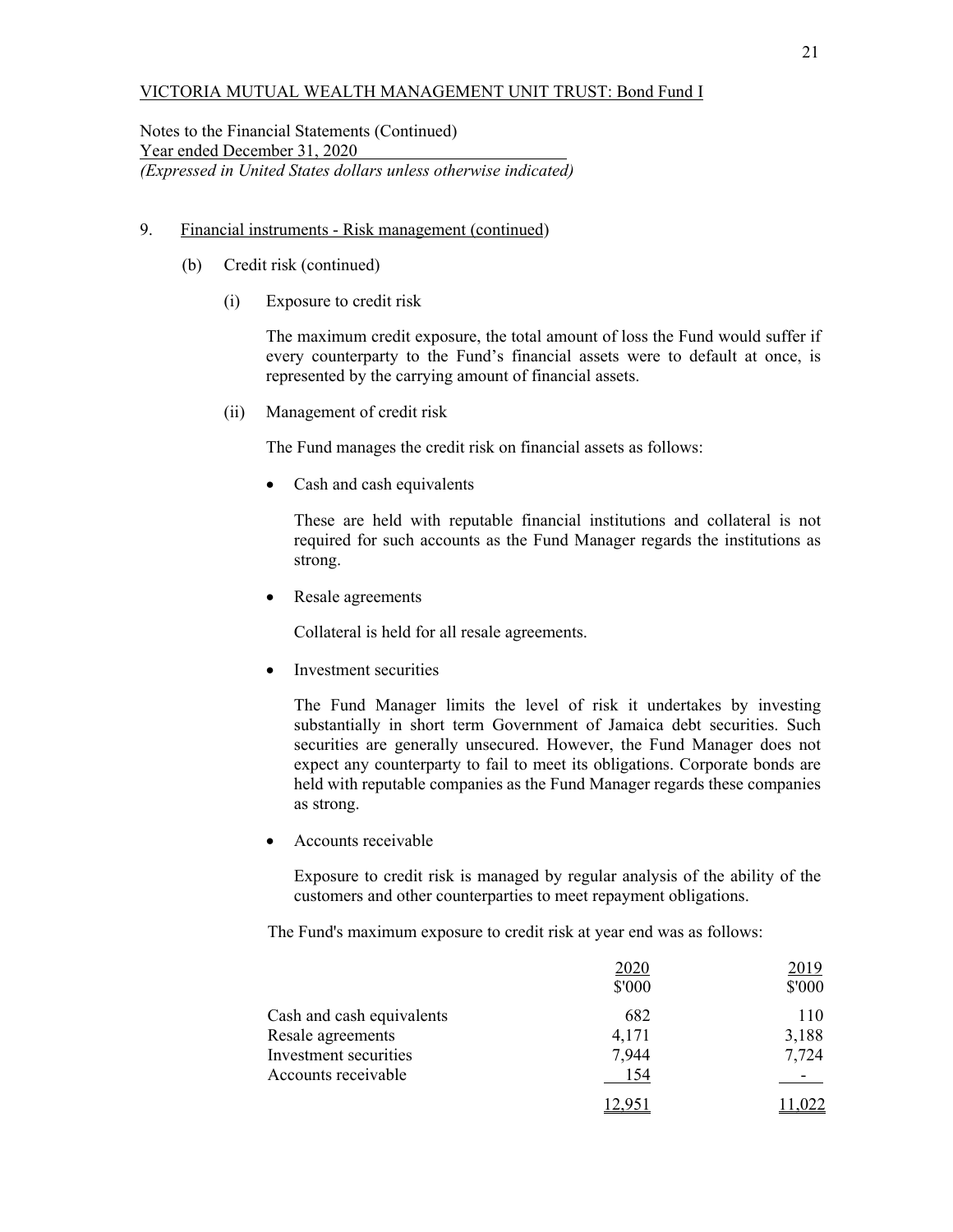Notes to the Financial Statements (Continued) Year ended December 31, 2020 *(Expressed in United States dollars unless otherwise indicated)* 

- 9. Financial instruments Risk management (continued)
	- (b) Credit risk (continued)
		- (i) Exposure to credit risk

The maximum credit exposure, the total amount of loss the Fund would suffer if every counterparty to the Fund's financial assets were to default at once, is represented by the carrying amount of financial assets.

(ii) Management of credit risk

The Fund manages the credit risk on financial assets as follows:

• Cash and cash equivalents

 These are held with reputable financial institutions and collateral is not required for such accounts as the Fund Manager regards the institutions as strong.

• Resale agreements

Collateral is held for all resale agreements.

• Investment securities

 The Fund Manager limits the level of risk it undertakes by investing substantially in short term Government of Jamaica debt securities. Such securities are generally unsecured. However, the Fund Manager does not expect any counterparty to fail to meet its obligations. Corporate bonds are held with reputable companies as the Fund Manager regards these companies as strong.

• Accounts receivable

 Exposure to credit risk is managed by regular analysis of the ability of the customers and other counterparties to meet repayment obligations.

The Fund's maximum exposure to credit risk at year end was as follows:

|                           | 2020   | 2019   |
|---------------------------|--------|--------|
|                           | \$'000 | \$'000 |
| Cash and cash equivalents | 682    | 110    |
| Resale agreements         | 4,171  | 3,188  |
| Investment securities     | 7,944  | 7,724  |
| Accounts receivable       | 154    |        |
|                           |        |        |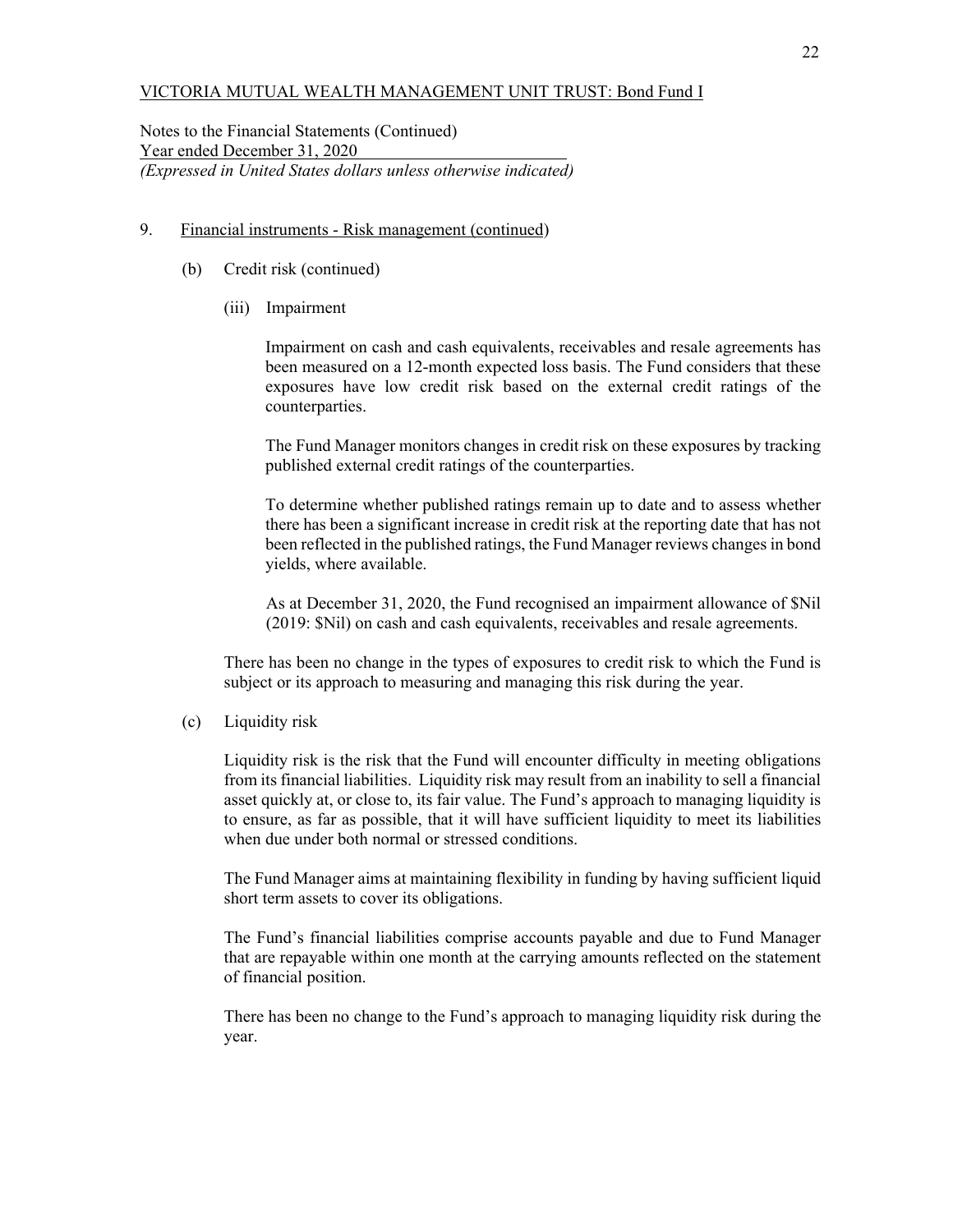Notes to the Financial Statements (Continued) Year ended December 31, 2020 *(Expressed in United States dollars unless otherwise indicated)* 

- 9. Financial instruments Risk management (continued)
	- (b) Credit risk (continued)
		- (iii) Impairment

Impairment on cash and cash equivalents, receivables and resale agreements has been measured on a 12-month expected loss basis. The Fund considers that these exposures have low credit risk based on the external credit ratings of the counterparties.

The Fund Manager monitors changes in credit risk on these exposures by tracking published external credit ratings of the counterparties.

To determine whether published ratings remain up to date and to assess whether there has been a significant increase in credit risk at the reporting date that has not been reflected in the published ratings, the Fund Manager reviews changes in bond yields, where available.

As at December 31, 2020, the Fund recognised an impairment allowance of \$Nil (2019: \$Nil) on cash and cash equivalents, receivables and resale agreements.

There has been no change in the types of exposures to credit risk to which the Fund is subject or its approach to measuring and managing this risk during the year.

(c) Liquidity risk

Liquidity risk is the risk that the Fund will encounter difficulty in meeting obligations from its financial liabilities. Liquidity risk may result from an inability to sell a financial asset quickly at, or close to, its fair value. The Fund's approach to managing liquidity is to ensure, as far as possible, that it will have sufficient liquidity to meet its liabilities when due under both normal or stressed conditions.

The Fund Manager aims at maintaining flexibility in funding by having sufficient liquid short term assets to cover its obligations.

The Fund's financial liabilities comprise accounts payable and due to Fund Manager that are repayable within one month at the carrying amounts reflected on the statement of financial position.

There has been no change to the Fund's approach to managing liquidity risk during the year.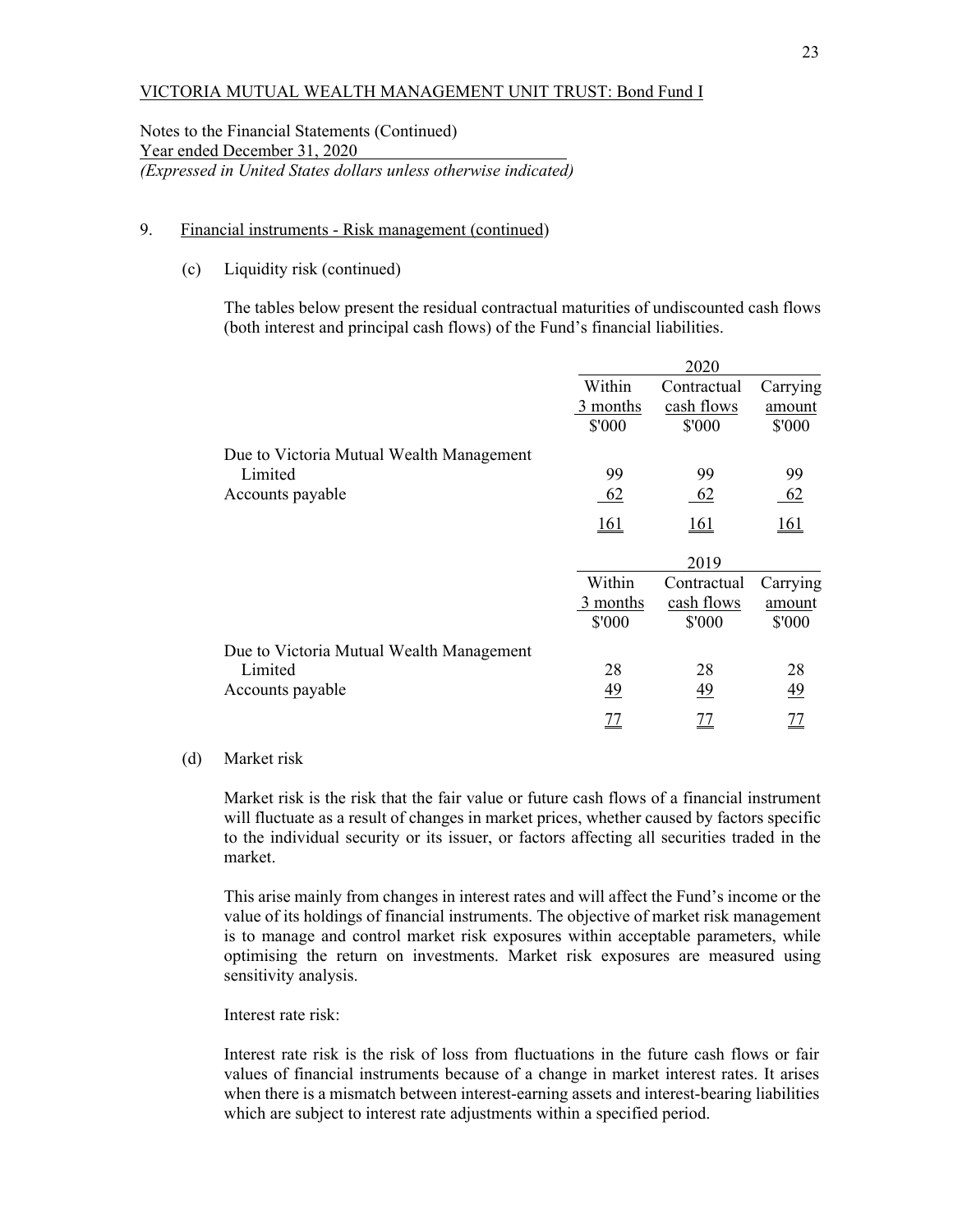Notes to the Financial Statements (Continued) Year ended December 31, 2020 *(Expressed in United States dollars unless otherwise indicated)* 

## 9. Financial instruments - Risk management (continued)

(c) Liquidity risk (continued)

The tables below present the residual contractual maturities of undiscounted cash flows (both interest and principal cash flows) of the Fund's financial liabilities.

|                                          |                              | 2020              |             |
|------------------------------------------|------------------------------|-------------------|-------------|
|                                          | Within                       | Contractual       | Carrying    |
|                                          | $\frac{3 \text{ months}}{2}$ | cash flows        | amount      |
|                                          | \$'000                       | \$'000            | \$'000      |
| Due to Victoria Mutual Wealth Management |                              |                   |             |
| Limited                                  | 99                           | 99                | 99          |
| Accounts payable                         | 62                           | $-62$             | 62          |
|                                          | $\underline{161}$            | $\underline{161}$ | <u> 161</u> |
|                                          |                              | 2019              |             |
|                                          | Within                       | Contractual       | Carrying    |
|                                          | 3 months                     | cash flows        | amount      |
|                                          | \$'000                       | \$'000            | \$'000      |
| Due to Victoria Mutual Wealth Management |                              |                   |             |
| Limited                                  | 28                           | 28                | 28          |
| Accounts payable                         | <u>49</u>                    | <u>49</u>         | <u>49</u>   |
|                                          | <u>77</u>                    | <u>77</u>         | <u>77</u>   |
|                                          |                              |                   |             |

## (d) Market risk

Market risk is the risk that the fair value or future cash flows of a financial instrument will fluctuate as a result of changes in market prices, whether caused by factors specific to the individual security or its issuer, or factors affecting all securities traded in the market.

This arise mainly from changes in interest rates and will affect the Fund's income or the value of its holdings of financial instruments. The objective of market risk management is to manage and control market risk exposures within acceptable parameters, while optimising the return on investments. Market risk exposures are measured using sensitivity analysis.

Interest rate risk:

Interest rate risk is the risk of loss from fluctuations in the future cash flows or fair values of financial instruments because of a change in market interest rates. It arises when there is a mismatch between interest-earning assets and interest-bearing liabilities which are subject to interest rate adjustments within a specified period.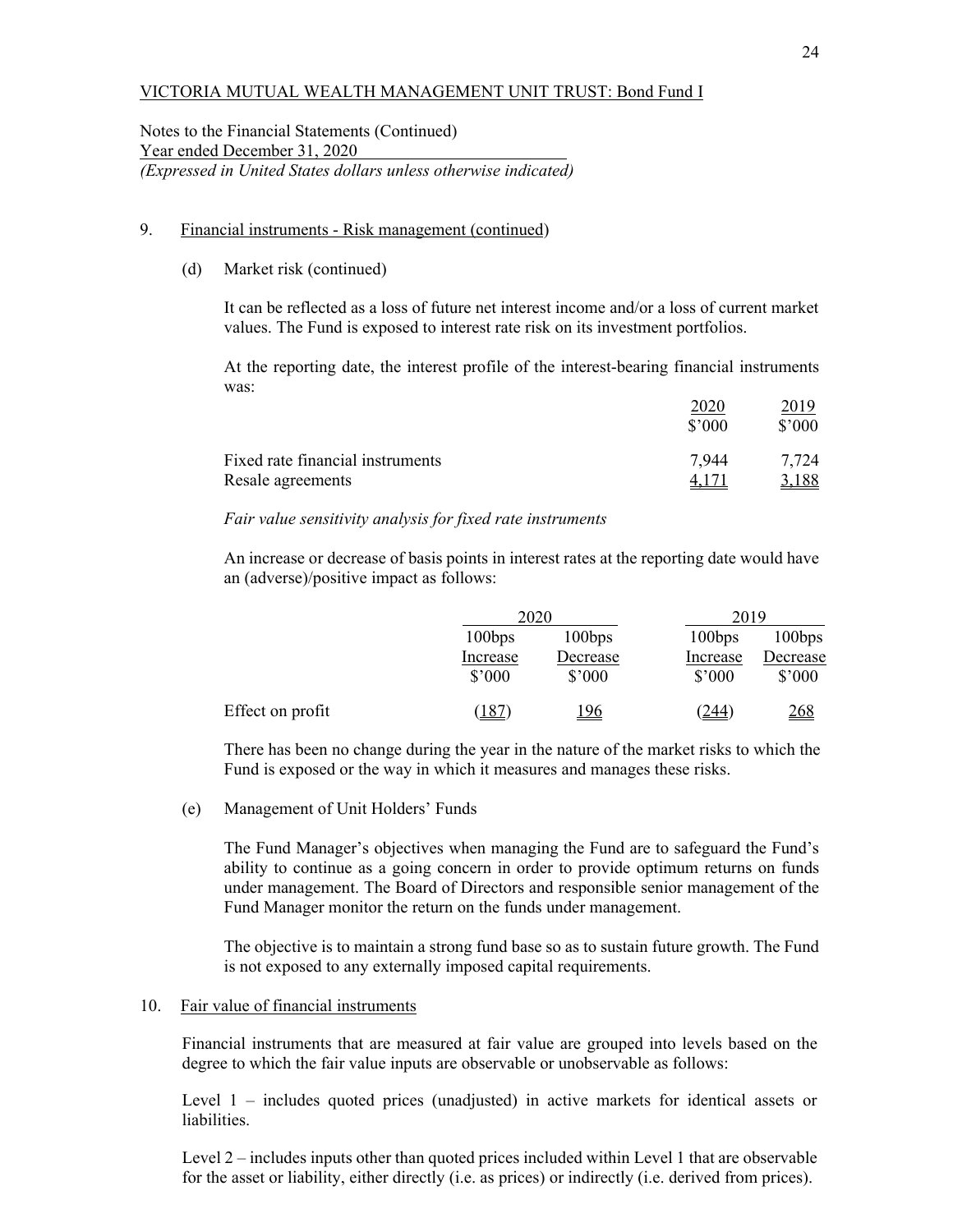Notes to the Financial Statements (Continued) Year ended December 31, 2020 *(Expressed in United States dollars unless otherwise indicated)* 

## 9. Financial instruments - Risk management (continued)

(d) Market risk (continued)

It can be reflected as a loss of future net interest income and/or a loss of current market values. The Fund is exposed to interest rate risk on its investment portfolios.

At the reporting date, the interest profile of the interest-bearing financial instruments was:

|                                  | 2020<br>$$^{\circ}000$ | 2019<br>\$'000 |
|----------------------------------|------------------------|----------------|
| Fixed rate financial instruments | 7.944                  | 7,724          |
| Resale agreements                | 4.171                  | 3,188          |

#### *Fair value sensitivity analysis for fixed rate instruments*

An increase or decrease of basis points in interest rates at the reporting date would have an (adverse)/positive impact as follows:

|                  | 2020               |                    | 2019               |                    |
|------------------|--------------------|--------------------|--------------------|--------------------|
|                  | 100bps             | 100bps             | 100bps             | 100bps             |
|                  | Increase<br>\$'000 | Decrease<br>\$'000 | Increase<br>\$'000 | Decrease<br>\$'000 |
| Effect on profit | 187                | <u> 196</u>        | (244)              | 268                |

There has been no change during the year in the nature of the market risks to which the Fund is exposed or the way in which it measures and manages these risks.

(e) Management of Unit Holders' Funds

The Fund Manager's objectives when managing the Fund are to safeguard the Fund's ability to continue as a going concern in order to provide optimum returns on funds under management. The Board of Directors and responsible senior management of the Fund Manager monitor the return on the funds under management.

The objective is to maintain a strong fund base so as to sustain future growth. The Fund is not exposed to any externally imposed capital requirements.

#### 10. Fair value of financial instruments

Financial instruments that are measured at fair value are grouped into levels based on the degree to which the fair value inputs are observable or unobservable as follows:

Level 1 – includes quoted prices (unadjusted) in active markets for identical assets or liabilities.

Level 2 – includes inputs other than quoted prices included within Level 1 that are observable for the asset or liability, either directly (i.e. as prices) or indirectly (i.e. derived from prices).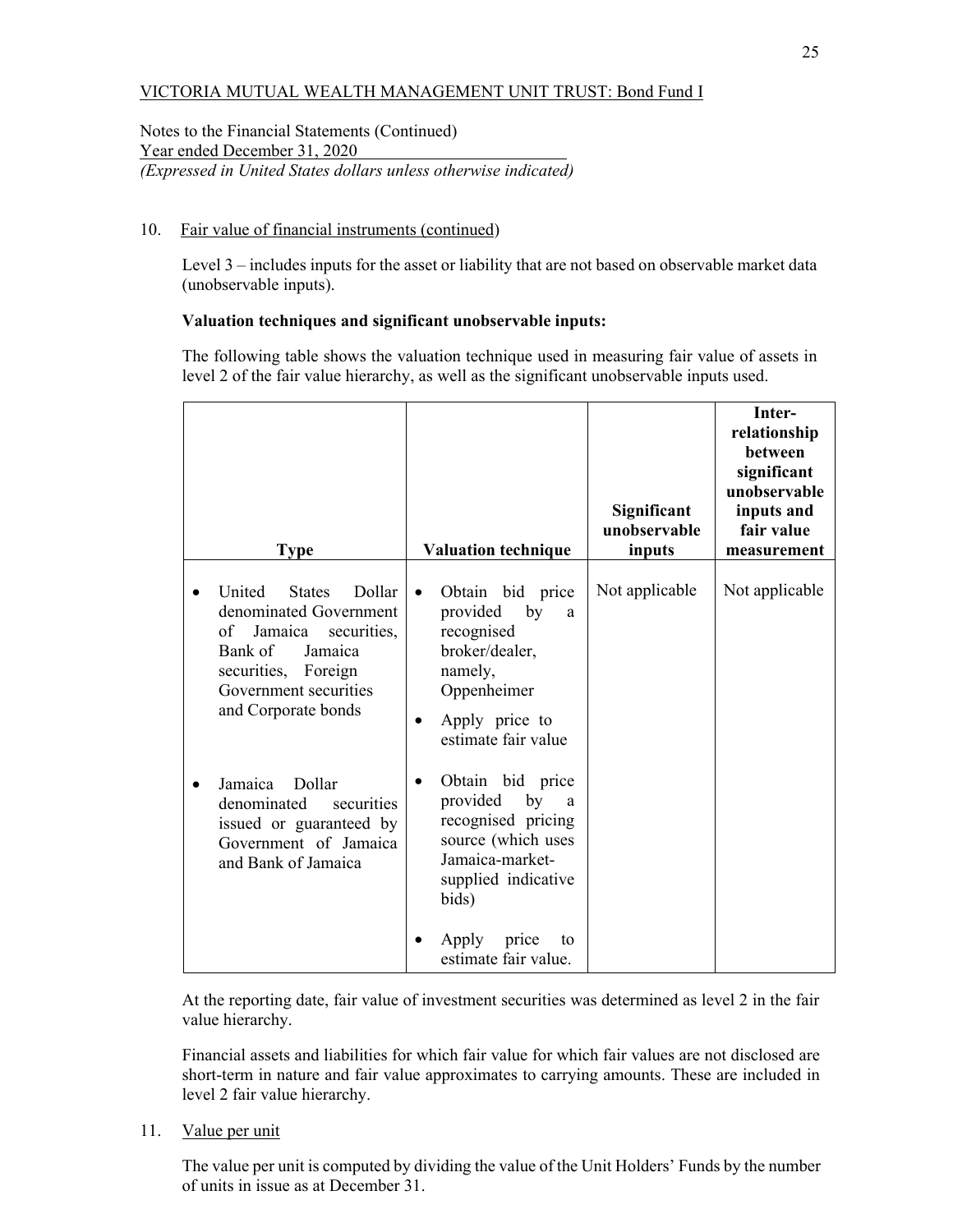Notes to the Financial Statements (Continued) Year ended December 31, 2020 *(Expressed in United States dollars unless otherwise indicated)* 

## 10. Fair value of financial instruments (continued)

Level 3 – includes inputs for the asset or liability that are not based on observable market data (unobservable inputs).

### **Valuation techniques and significant unobservable inputs:**

The following table shows the valuation technique used in measuring fair value of assets in level 2 of the fair value hierarchy, as well as the significant unobservable inputs used.

| <b>Type</b>                                                                                                                                                                              | <b>Valuation technique</b>                                                                                                                                                             | Significant<br>unobservable<br>inputs | Inter-<br>relationship<br>between<br>significant<br>unobservable<br>inputs and<br>fair value<br>measurement |
|------------------------------------------------------------------------------------------------------------------------------------------------------------------------------------------|----------------------------------------------------------------------------------------------------------------------------------------------------------------------------------------|---------------------------------------|-------------------------------------------------------------------------------------------------------------|
| United<br><b>States</b><br>Dollar<br>denominated Government<br>of<br>Jamaica<br>securities,<br>Bank of<br>Jamaica<br>securities, Foreign<br>Government securities<br>and Corporate bonds | Obtain bid price<br>$\bullet$<br>provided<br>by<br>a<br>recognised<br>broker/dealer,<br>namely,<br>Oppenheimer<br>Apply price to<br>$\bullet$<br>estimate fair value                   | Not applicable                        | Not applicable                                                                                              |
| Jamaica<br>Dollar<br>denominated<br>securities<br>issued or guaranteed by<br>Government of Jamaica<br>and Bank of Jamaica                                                                | Obtain bid price<br>provided<br>by<br>a<br>recognised pricing<br>source (which uses<br>Jamaica-market-<br>supplied indicative<br>bids)<br>Apply<br>price<br>to<br>estimate fair value. |                                       |                                                                                                             |

At the reporting date, fair value of investment securities was determined as level 2 in the fair value hierarchy.

Financial assets and liabilities for which fair value for which fair values are not disclosed are short-term in nature and fair value approximates to carrying amounts. These are included in level 2 fair value hierarchy.

#### 11. Value per unit

 The value per unit is computed by dividing the value of the Unit Holders' Funds by the number of units in issue as at December 31.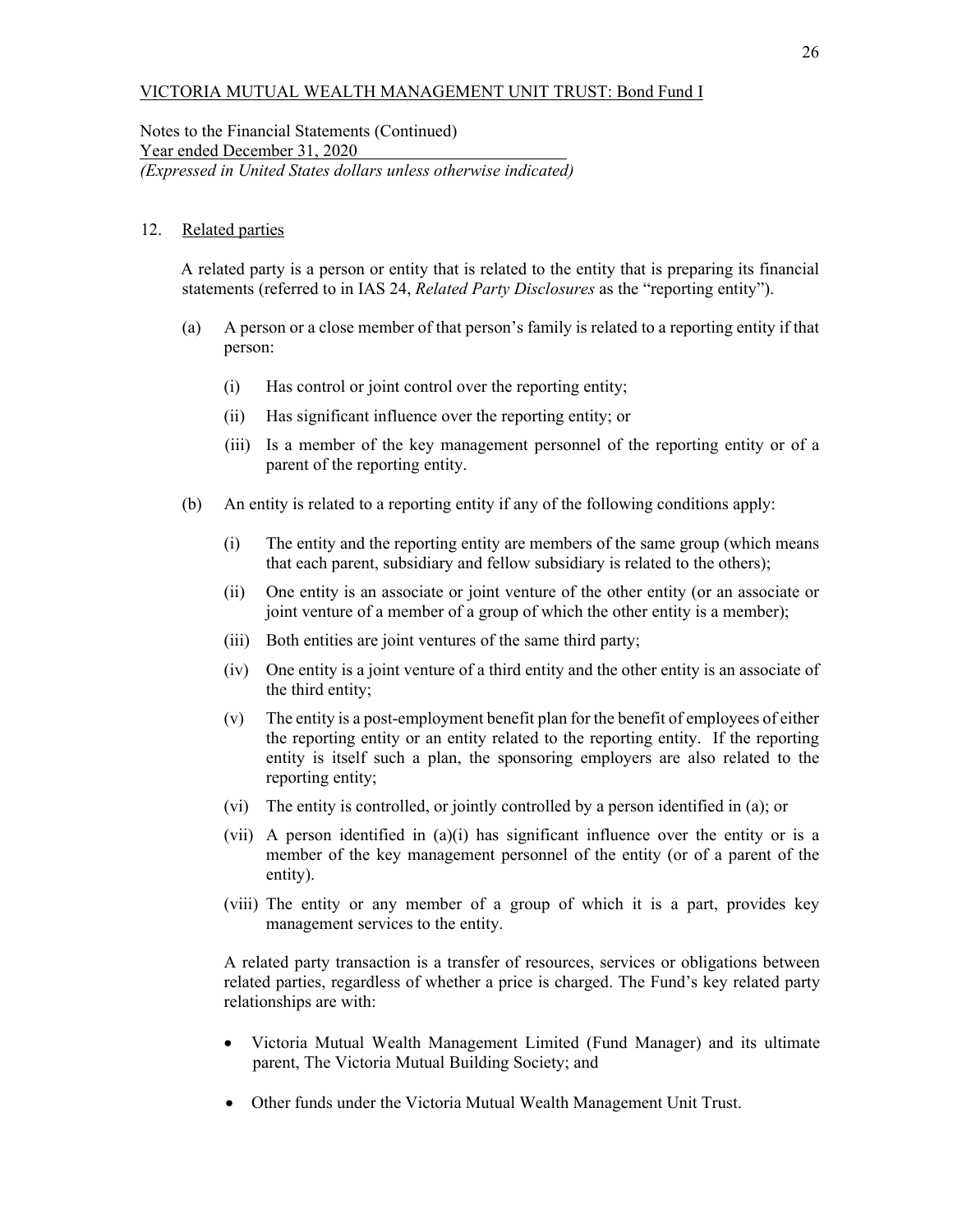Notes to the Financial Statements (Continued) Year ended December 31, 2020 *(Expressed in United States dollars unless otherwise indicated)* 

## 12. Related parties

A related party is a person or entity that is related to the entity that is preparing its financial statements (referred to in IAS 24, *Related Party Disclosures* as the "reporting entity").

- (a) A person or a close member of that person's family is related to a reporting entity if that person:
	- (i) Has control or joint control over the reporting entity;
	- (ii) Has significant influence over the reporting entity; or
	- (iii) Is a member of the key management personnel of the reporting entity or of a parent of the reporting entity.
- (b) An entity is related to a reporting entity if any of the following conditions apply:
	- (i) The entity and the reporting entity are members of the same group (which means that each parent, subsidiary and fellow subsidiary is related to the others);
	- (ii) One entity is an associate or joint venture of the other entity (or an associate or joint venture of a member of a group of which the other entity is a member);
	- (iii) Both entities are joint ventures of the same third party;
	- (iv) One entity is a joint venture of a third entity and the other entity is an associate of the third entity;
	- (v) The entity is a post-employment benefit plan for the benefit of employees of either the reporting entity or an entity related to the reporting entity. If the reporting entity is itself such a plan, the sponsoring employers are also related to the reporting entity;
	- (vi) The entity is controlled, or jointly controlled by a person identified in (a); or
	- (vii) A person identified in (a)(i) has significant influence over the entity or is a member of the key management personnel of the entity (or of a parent of the entity).
	- (viii) The entity or any member of a group of which it is a part, provides key management services to the entity.

A related party transaction is a transfer of resources, services or obligations between related parties, regardless of whether a price is charged. The Fund's key related party relationships are with:

- Victoria Mutual Wealth Management Limited (Fund Manager) and its ultimate parent, The Victoria Mutual Building Society; and
- Other funds under the Victoria Mutual Wealth Management Unit Trust.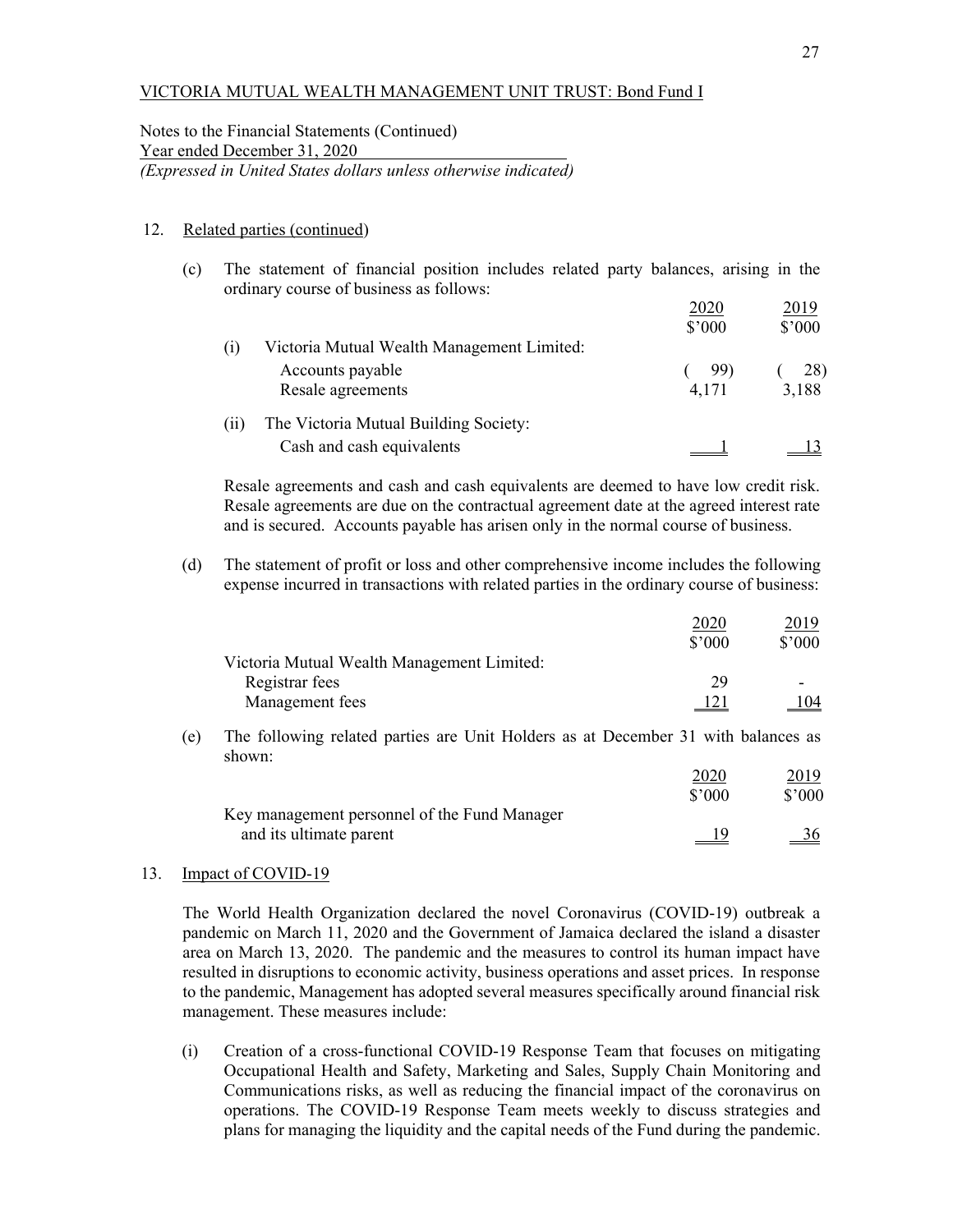Notes to the Financial Statements (Continued) Year ended December 31, 2020 *(Expressed in United States dollars unless otherwise indicated)* 

### 12. Related parties (continued)

(c) The statement of financial position includes related party balances, arising in the ordinary course of business as follows: 2020 2019

|      |                                            | \$2000 | $$^{\prime}000$ |
|------|--------------------------------------------|--------|-----------------|
| (1)  | Victoria Mutual Wealth Management Limited: |        |                 |
|      | Accounts payable                           | 99)    | - 28)           |
|      | Resale agreements                          | 4,171  | 3,188           |
| (11) | The Victoria Mutual Building Society:      |        |                 |
|      | Cash and cash equivalents                  |        |                 |

Resale agreements and cash and cash equivalents are deemed to have low credit risk. Resale agreements are due on the contractual agreement date at the agreed interest rate and is secured. Accounts payable has arisen only in the normal course of business.

 (d) The statement of profit or loss and other comprehensive income includes the following expense incurred in transactions with related parties in the ordinary course of business:

|                                            | 2020<br>\$3000 | <u>2019</u><br>\$'000 |
|--------------------------------------------|----------------|-----------------------|
| Victoria Mutual Wealth Management Limited: |                |                       |
| Registrar fees                             | 29             |                       |
| Management fees                            | <u> 121</u>    | 104                   |

(e) The following related parties are Unit Holders as at December 31 with balances as shown:

|                                              | 2020           | 2019           |
|----------------------------------------------|----------------|----------------|
|                                              | \$2000         | $$^{\circ}000$ |
| Key management personnel of the Fund Manager |                |                |
| and its ultimate parent                      | $\frac{19}{2}$ | $\frac{36}{1}$ |

#### 13. Impact of COVID-19

The World Health Organization declared the novel Coronavirus (COVID-19) outbreak a pandemic on March 11, 2020 and the Government of Jamaica declared the island a disaster area on March 13, 2020. The pandemic and the measures to control its human impact have resulted in disruptions to economic activity, business operations and asset prices. In response to the pandemic, Management has adopted several measures specifically around financial risk management. These measures include:

(i) Creation of a cross-functional COVID-19 Response Team that focuses on mitigating Occupational Health and Safety, Marketing and Sales, Supply Chain Monitoring and Communications risks, as well as reducing the financial impact of the coronavirus on operations. The COVID-19 Response Team meets weekly to discuss strategies and plans for managing the liquidity and the capital needs of the Fund during the pandemic.